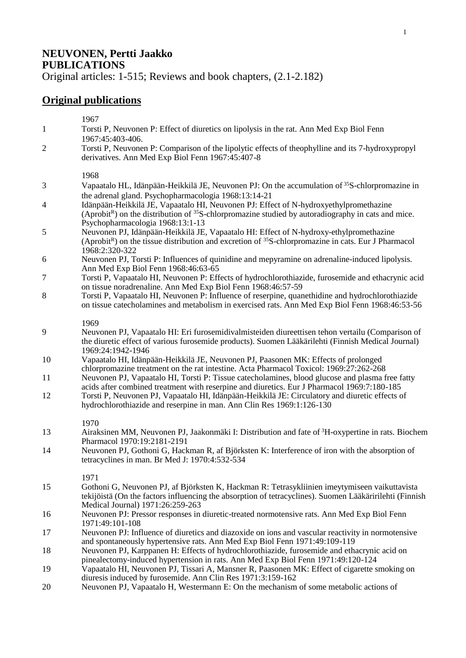## **NEUVONEN, Pertti Jaakko PUBLICATIONS**

Original articles: 1-515; Reviews and book chapters, (2.1-2.182)

## **Original publications**

 $1067$ 

|                | 1707                                                                                                                                                                                                                                                    |
|----------------|---------------------------------------------------------------------------------------------------------------------------------------------------------------------------------------------------------------------------------------------------------|
| $\mathbf{1}$   | Torsti P, Neuvonen P: Effect of diuretics on lipolysis in the rat. Ann Med Exp Biol Fenn<br>1967:45:403-406.                                                                                                                                            |
| $\overline{2}$ | Torsti P, Neuvonen P: Comparison of the lipolytic effects of theophylline and its 7-hydroxypropyl<br>derivatives. Ann Med Exp Biol Fenn 1967:45:407-8                                                                                                   |
|                | 1968                                                                                                                                                                                                                                                    |
| 3              | Vapaatalo HL, Idänpään-Heikkilä JE, Neuvonen PJ: On the accumulation of <sup>35</sup> S-chlorpromazine in<br>the adrenal gland. Psychopharmacologia 1968:13:14-21                                                                                       |
| $\overline{4}$ | Idänpään-Heikkilä JE, Vapaatalo HI, Neuvonen PJ: Effect of N-hydroxyethylpromethazine<br>(Aprobit <sup>R</sup> ) on the distribution of <sup>35</sup> S-chlorpromazine studied by autoradiography in cats and mice.<br>Psychopharmacologia 1968:13:1-13 |
| 5              | Neuvonen PJ, Idänpään-Heikkilä JE, Vapaatalo HI: Effect of N-hydroxy-ethylpromethazine<br>(Aprobit <sup>R</sup> ) on the tissue distribution and excretion of <sup>35</sup> S-chlorpromazine in cats. Eur J Pharmacol<br>1968:2:320-322                 |
| 6              | Neuvonen PJ, Torsti P: Influences of quinidine and mepyramine on adrenaline-induced lipolysis.<br>Ann Med Exp Biol Fenn 1968:46:63-65                                                                                                                   |
| $\tau$         | Torsti P, Vapaatalo HI, Neuvonen P: Effects of hydrochlorothiazide, furosemide and ethacrynic acid<br>on tissue noradrenaline. Ann Med Exp Biol Fenn 1968:46:57-59                                                                                      |
| 8              | Torsti P, Vapaatalo HI, Neuvonen P: Influence of reserpine, quanethidine and hydrochlorothiazide<br>on tissue catecholamines and metabolism in exercised rats. Ann Med Exp Biol Fenn 1968:46:53-56                                                      |
| 9              | 1969<br>Neuvonen PJ, Vapaatalo HI: Eri furosemidivalmisteiden diureettisen tehon vertailu (Comparison of<br>the diuretic effect of various furosemide products). Suomen Lääkärilehti (Finnish Medical Journal)                                          |
| 10             | 1969:24:1942-1946<br>Vapaatalo HI, Idänpään-Heikkilä JE, Neuvonen PJ, Paasonen MK: Effects of prolonged<br>chlorpromazine treatment on the rat intestine. Acta Pharmacol Toxicol: 1969:27:262-268                                                       |
| 11             | Neuvonen PJ, Vapaatalo HI, Torsti P: Tissue catecholamines, blood glucose and plasma free fatty<br>acids after combined treatment with reserpine and diuretics. Eur J Pharmacol 1969:7:180-185                                                          |
| 12             | Torsti P, Neuvonen PJ, Vapaatalo HI, Idänpään-Heikkilä JE: Circulatory and diuretic effects of<br>hydrochlorothiazide and reserpine in man. Ann Clin Res 1969:1:126-130                                                                                 |
|                | 1970                                                                                                                                                                                                                                                    |
| 13             | Airaksinen MM, Neuvonen PJ, Jaakonmäki I: Distribution and fate of <sup>3</sup> H-oxypertine in rats. Biochem<br>Pharmacol 1970:19:2181-2191                                                                                                            |
| 14             | Neuvonen PJ, Gothoni G, Hackman R, af Björksten K: Interference of iron with the absorption of<br>tetracyclines in man. Br Med J: 1970:4:532-534                                                                                                        |
|                | 1971                                                                                                                                                                                                                                                    |
| 15             | Gothoni G, Neuvonen PJ, af Björksten K, Hackman R: Tetrasykliinien imeytymiseen vaikuttavista<br>tekijöistä (On the factors influencing the absorption of tetracyclines). Suomen Lääkäririlehti (Finnish<br>Medical Journal) 1971:26:259-263            |
| 16             | Neuvonen PJ: Pressor responses in diuretic-treated normotensive rats. Ann Med Exp Biol Fenn<br>1971:49:101-108                                                                                                                                          |
| 17             | Neuvonen PJ: Influence of diuretics and diazoxide on ions and vascular reactivity in normotensive<br>and spontaneously hypertensive rats. Ann Med Exp Biol Fenn 1971:49:109-119                                                                         |
| 18             | Neuvonen PJ, Karppanen H: Effects of hydrochlorothiazide, furosemide and ethacrynic acid on<br>pinealectomy-induced hypertension in rats. Ann Med Exp Biol Fenn 1971:49:120-124                                                                         |
| 19             | Vapaatalo HI, Neuvonen PJ, Tissari A, Mansner R, Paasonen MK: Effect of cigarette smoking on<br>diuresis induced by furosemide. Ann Clin Res 1971:3:159-162                                                                                             |
|                |                                                                                                                                                                                                                                                         |

20 Neuvonen PJ, Vapaatalo H, Westermann E: On the mechanism of some metabolic actions of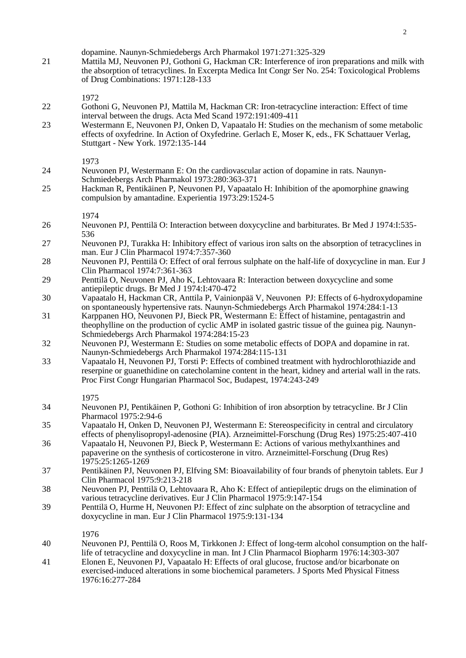| 21 | dopamine. Naunyn-Schmiedebergs Arch Pharmakol 1971:271:325-329<br>Mattila MJ, Neuvonen PJ, Gothoni G, Hackman CR: Interference of iron preparations and milk with<br>the absorption of tetracyclines. In Excerpta Medica Int Congr Ser No. 254: Toxicological Problems<br>of Drug Combinations: 1971:128-133 |
|----|--------------------------------------------------------------------------------------------------------------------------------------------------------------------------------------------------------------------------------------------------------------------------------------------------------------|
|    | 1972                                                                                                                                                                                                                                                                                                         |
| 22 | Gothoni G, Neuvonen PJ, Mattila M, Hackman CR: Iron-tetracycline interaction: Effect of time<br>interval between the drugs. Acta Med Scand 1972:191:409-411                                                                                                                                                  |
| 23 | Westermann E, Neuvonen PJ, Onken D, Vapaatalo H: Studies on the mechanism of some metabolic<br>effects of oxyfedrine. In Action of Oxyfedrine. Gerlach E, Moser K, eds., FK Schattauer Verlag,<br>Stuttgart - New York. 1972:135-144                                                                         |
| 24 | 1973<br>Neuvonen PJ, Westermann E: On the cardiovascular action of dopamine in rats. Naunyn-<br>Schmiedebergs Arch Pharmakol 1973:280:363-371                                                                                                                                                                |
| 25 | Hackman R, Pentikäinen P, Neuvonen PJ, Vapaatalo H: Inhibition of the apomorphine gnawing<br>compulsion by amantadine. Experientia 1973:29:1524-5                                                                                                                                                            |
|    | 1974                                                                                                                                                                                                                                                                                                         |
| 26 | Neuvonen PJ, Penttilä O: Interaction between doxycycline and barbiturates. Br Med J 1974:I:535-<br>536                                                                                                                                                                                                       |
| 27 | Neuvonen PJ, Turakka H: Inhibitory effect of various iron salts on the absorption of tetracyclines in<br>man. Eur J Clin Pharmacol 1974:7:357-360                                                                                                                                                            |
| 28 | Neuvonen PJ, Penttilä O: Effect of oral ferrous sulphate on the half-life of doxycycline in man. Eur J<br>Clin Pharmacol 1974:7:361-363                                                                                                                                                                      |
| 29 | Penttilä O, Neuvonen PJ, Aho K, Lehtovaara R: Interaction between doxycycline and some<br>antiepileptic drugs. Br Med J 1974:I:470-472                                                                                                                                                                       |
| 30 | Vapaatalo H, Hackman CR, Anttila P, Vainionpää V, Neuvonen PJ: Effects of 6-hydroxydopamine<br>on spontaneously hypertensive rats. Naunyn-Schmiedebergs Arch Pharmakol 1974:284:1-13                                                                                                                         |
| 31 | Karppanen HO, Neuvonen PJ, Bieck PR, Westermann E: Effect of histamine, pentagastrin and<br>theophylline on the production of cyclic AMP in isolated gastric tissue of the guinea pig. Naunyn-<br>Schmiedebergs Arch Pharmakol 1974:284:15-23                                                                |
| 32 | Neuvonen PJ, Westermann E: Studies on some metabolic effects of DOPA and dopamine in rat.<br>Naunyn-Schmiedebergs Arch Pharmakol 1974:284:115-131                                                                                                                                                            |
| 33 | Vapaatalo H, Neuvonen PJ, Torsti P: Effects of combined treatment with hydrochlorothiazide and<br>reserpine or guanethidine on catecholamine content in the heart, kidney and arterial wall in the rats.<br>Proc First Congr Hungarian Pharmacol Soc, Budapest, 1974:243-249                                 |
|    | 1975                                                                                                                                                                                                                                                                                                         |
| 34 | Neuvonen PJ, Pentikäinen P, Gothoni G: Inhibition of iron absorption by tetracycline. Br J Clin<br>Pharmacol 1975:2:94-6                                                                                                                                                                                     |
| 35 | Vapaatalo H, Onken D, Neuvonen PJ, Westermann E: Stereospecificity in central and circulatory<br>effects of phenylisopropyl-adenosine (PIA). Arzneimittel-Forschung (Drug Res) 1975:25:407-410                                                                                                               |
| 36 | Vapaatalo H, Neuvonen PJ, Bieck P, Westermann E: Actions of various methylxanthines and<br>papaverine on the synthesis of corticosterone in vitro. Arzneimittel-Forschung (Drug Res)<br>1975:25:1265-1269                                                                                                    |
| 37 | Pentikäinen PJ, Neuvonen PJ, Elfving SM: Bioavailability of four brands of phenytoin tablets. Eur J<br>Clin Pharmacol 1975:9:213-218                                                                                                                                                                         |
| 38 | Neuvonen PJ, Penttilä O, Lehtovaara R, Aho K: Effect of antiepileptic drugs on the elimination of<br>various tetracycline derivatives. Eur J Clin Pharmacol 1975:9:147-154                                                                                                                                   |
| 39 | Penttilä O, Hurme H, Neuvonen PJ: Effect of zinc sulphate on the absorption of tetracycline and<br>doxycycline in man. Eur J Clin Pharmacol 1975:9:131-134                                                                                                                                                   |
| 40 | 1976                                                                                                                                                                                                                                                                                                         |
|    | Neuvonen PJ, Penttilä O, Roos M, Tirkkonen J: Effect of long-term alcohol consumption on the half-<br>life of tetracycline and doxycycline in man. Int J Clin Pharmacol Biopharm 1976:14:303-307                                                                                                             |
| 41 | Elonen E, Neuvonen PJ, Vapaatalo H: Effects of oral glucose, fructose and/or bicarbonate on<br>exercised-induced alterations in some biochemical parameters. J Sports Med Physical Fitness<br>1976:16:277-284                                                                                                |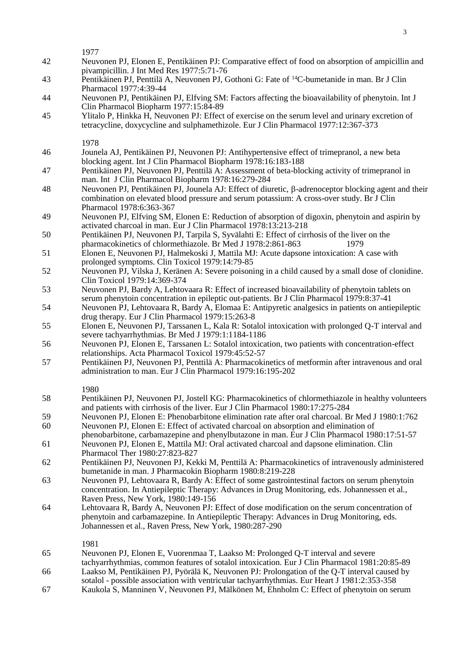- 42 Neuvonen PJ, Elonen E, Pentikäinen PJ: Comparative effect of food on absorption of ampicillin and pivampicillin. J Int Med Res 1977:5:71-76
- 43 Pentikäinen PJ, Penttilä A, Neuvonen PJ, Gothoni G: Fate of <sup>14</sup>C-bumetanide in man. Br J Clin Pharmacol 1977:4:39-44
- 44 Neuvonen PJ, Pentikäinen PJ, Elfving SM: Factors affecting the bioavailability of phenytoin. Int J Clin Pharmacol Biopharm 1977:15:84-89
- 45 Ylitalo P, Hinkka H, Neuvonen PJ: Effect of exercise on the serum level and urinary excretion of tetracycline, doxycycline and sulphamethizole. Eur J Clin Pharmacol 1977:12:367-373

1978

- 46 Jounela AJ, Pentikäinen PJ, Neuvonen PJ: Antihypertensive effect of trimepranol, a new beta blocking agent. Int J Clin Pharmacol Biopharm 1978:16:183-188
- 47 Pentikäinen PJ, Neuvonen PJ, Penttilä A: Assessment of beta-blocking activity of trimepranol in man. Int J Clin Pharmacol Biopharm 1978:16:279-284
- 48 Neuvonen PJ, Pentikäinen PJ, Jounela AJ: Effect of diuretic,  $\beta$ -adrenoceptor blocking agent and their combination on elevated blood pressure and serum potassium: A cross-over study. Br J Clin Pharmacol 1978:6:363-367
- 49 Neuvonen PJ, Elfving SM, Elonen E: Reduction of absorption of digoxin, phenytoin and aspirin by activated charcoal in man. Eur J Clin Pharmacol 1978:13:213-218
- 50 Pentikäinen PJ, Neuvonen PJ, Tarpila S, Syvälahti E: Effect of cirrhosis of the liver on the pharmacokinetics of chlormethiazole. Br Med J 1978:2:861-863 1979
- 51 Elonen E, Neuvonen PJ, Halmekoski J, Mattila MJ: Acute dapsone intoxication: A case with prolonged symptoms. Clin Toxicol 1979:14:79-85
- 52 Neuvonen PJ, Vilska J, Keränen A: Severe poisoning in a child caused by a small dose of clonidine. Clin Toxicol 1979:14:369-374
- 53 Neuvonen PJ, Bardy A, Lehtovaara R: Effect of increased bioavailability of phenytoin tablets on serum phenytoin concentration in epileptic out-patients. Br J Clin Pharmacol 1979:8:37-41
- 54 Neuvonen PJ, Lehtovaara R, Bardy A, Elomaa E: Antipyretic analgesics in patients on antiepileptic drug therapy. Eur J Clin Pharmacol 1979:15:263-8
- 55 Elonen E, Neuvonen PJ, Tarssanen L, Kala R: Sotalol intoxication with prolonged Q-T interval and severe tachyarrhythmias. Br Med J 1979:1:1184-1186
- 56 Neuvonen PJ, Elonen E, Tarssanen L: Sotalol intoxication, two patients with concentration-effect relationships. Acta Pharmacol Toxicol 1979:45:52-57
- 57 Pentikäinen PJ, Neuvonen PJ, Penttilä A: Pharmacokinetics of metformin after intravenous and oral administration to man. Eur J Clin Pharmacol 1979:16:195-202

1980

- 58 Pentikäinen PJ, Neuvonen PJ, Jostell KG: Pharmacokinetics of chlormethiazole in healthy volunteers and patients with cirrhosis of the liver. Eur J Clin Pharmacol 1980:17:275-284
- 59 Neuvonen PJ, Elonen E: Phenobarbitone elimination rate after oral charcoal. Br Med J 1980:1:762 60 Neuvonen PJ, Elonen E: Effect of activated charcoal on absorption and elimination of
- phenobarbitone, carbamazepine and phenylbutazone in man. Eur J Clin Pharmacol 1980:17:51-57
- 61 Neuvonen PJ, Elonen E, Mattila MJ: Oral activated charcoal and dapsone elimination. Clin Pharmacol Ther 1980:27:823-827
- 62 Pentikäinen PJ, Neuvonen PJ, Kekki M, Penttilä A: Pharmacokinetics of intravenously administered bumetanide in man. J Pharmacokin Biopharm 1980:8:219-228
- 63 Neuvonen PJ, Lehtovaara R, Bardy A: Effect of some gastrointestinal factors on serum phenytoin concentration. In Antiepileptic Therapy: Advances in Drug Monitoring, eds. Johannessen et al., Raven Press, New York, 1980:149-156
- 64 Lehtovaara R, Bardy A, Neuvonen PJ: Effect of dose modification on the serum concentration of phenytoin and carbamazepine. In Antiepileptic Therapy: Advances in Drug Monitoring, eds. Johannessen et al., Raven Press, New York, 1980:287-290

- 65 Neuvonen PJ, Elonen E, Vuorenmaa T, Laakso M: Prolonged Q-T interval and severe tachyarrhythmias, common features of sotalol intoxication. Eur J Clin Pharmacol 1981:20:85-89
- 66 Laakso M, Pentikäinen PJ, Pyörälä K, Neuvonen PJ: Prolongation of the Q-T interval caused by
- sotalol possible association with ventricular tachyarrhythmias. Eur Heart J 1981:2:353-358
- 67 Kaukola S, Manninen V, Neuvonen PJ, Mälkönen M, Ehnholm C: Effect of phenytoin on serum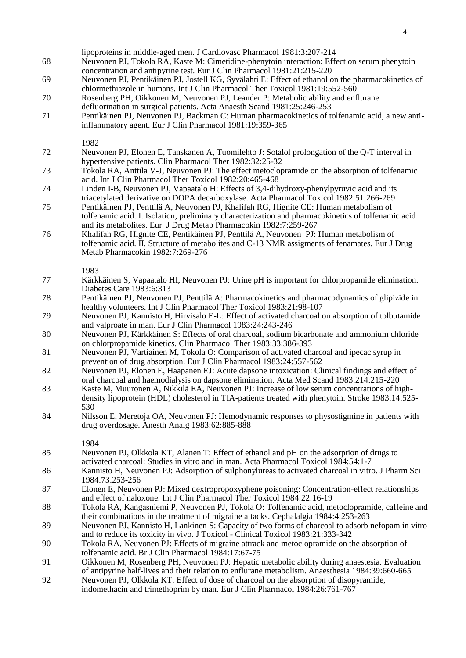| 68 | lipoproteins in middle-aged men. J Cardiovasc Pharmacol 1981:3:207-214<br>Neuvonen PJ, Tokola RA, Kaste M: Cimetidine-phenytoin interaction: Effect on serum phenytoin<br>concentration and antipyrine test. Eur J Clin Pharmacol 1981:21:215-220                |
|----|------------------------------------------------------------------------------------------------------------------------------------------------------------------------------------------------------------------------------------------------------------------|
| 69 | Neuvonen PJ, Pentikäinen PJ, Jostell KG, Syvälahti E: Effect of ethanol on the pharmacokinetics of<br>chlormethiazole in humans. Int J Clin Pharmacol Ther Toxicol 1981:19:552-560                                                                               |
| 70 | Rosenberg PH, Oikkonen M, Neuvonen PJ, Leander P: Metabolic ability and enflurane<br>defluorination in surgical patients. Acta Anaesth Scand 1981:25:246-253                                                                                                     |
| 71 | Pentikäinen PJ, Neuvonen PJ, Backman C: Human pharmacokinetics of tolfenamic acid, a new anti-<br>inflammatory agent. Eur J Clin Pharmacol 1981:19:359-365                                                                                                       |
| 72 | 1982                                                                                                                                                                                                                                                             |
| 73 | Neuvonen PJ, Elonen E, Tanskanen A, Tuomilehto J: Sotalol prolongation of the Q-T interval in<br>hypertensive patients. Clin Pharmacol Ther 1982:32:25-32<br>Tokola RA, Anttila V-J, Neuvonen PJ: The effect metoclopramide on the absorption of tolfenamic      |
|    | acid. Int J Clin Pharmacol Ther Toxicol 1982:20:465-468                                                                                                                                                                                                          |
| 74 | Linden I-B, Neuvonen PJ, Vapaatalo H: Effects of 3,4-dihydroxy-phenylpyruvic acid and its<br>triacetylated derivative on DOPA decarboxylase. Acta Pharmacol Toxicol 1982:51:266-269                                                                              |
| 75 | Pentikäinen PJ, Penttilä A, Neuvonen PJ, Khalifah RG, Hignite CE: Human metabolism of<br>tolfenamic acid. I. Isolation, preliminary characterization and pharmacokinetics of tolfenamic acid<br>and its metabolites. Eur J Drug Metab Pharmacokin 1982:7:259-267 |
| 76 | Khalifah RG, Hignite CE, Pentikäinen PJ, Penttilä A, Neuvonen PJ: Human metabolism of<br>tolfenamic acid. II. Structure of metabolites and C-13 NMR assigments of fenamates. Eur J Drug<br>Metab Pharmacokin 1982:7:269-276                                      |
| 77 | 1983<br>Kärkkäinen S, Vapaatalo HI, Neuvonen PJ: Urine pH is important for chlorpropamide elimination.<br>Diabetes Care 1983:6:313                                                                                                                               |
| 78 | Pentikäinen PJ, Neuvonen PJ, Penttilä A: Pharmacokinetics and pharmacodynamics of glipizide in<br>healthy volunteers. Int J Clin Pharmacol Ther Toxicol 1983:21:98-107                                                                                           |
| 79 | Neuvonen PJ, Kannisto H, Hirvisalo E-L: Effect of activated charcoal on absorption of tolbutamide<br>and valproate in man. Eur J Clin Pharmacol 1983:24:243-246                                                                                                  |
| 80 | Neuvonen PJ, Kärkkäinen S: Effects of oral charcoal, sodium bicarbonate and ammonium chloride<br>on chlorpropamide kinetics. Clin Pharmacol Ther 1983:33:386-393                                                                                                 |
| 81 | Neuvonen PJ, Vartiainen M, Tokola O: Comparison of activated charcoal and ipecac syrup in<br>prevention of drug absorption. Eur J Clin Pharmacol 1983:24:557-562                                                                                                 |
| 82 | Neuvonen PJ, Elonen E, Haapanen EJ: Acute dapsone intoxication: Clinical findings and effect of<br>oral charcoal and haemodialysis on dapsone elimination. Acta Med Scand 1983:214:215-220                                                                       |
| 83 | Kaste M, Muuronen A, Nikkilä EA, Neuvonen PJ: Increase of low serum concentrations of high-<br>density lipoprotein (HDL) cholesterol in TIA-patients treated with phenytoin. Stroke 1983:14:525-<br>530                                                          |
| 84 | Nilsson E, Meretoja OA, Neuvonen PJ: Hemodynamic responses to physostigmine in patients with<br>drug overdosage. Anesth Analg 1983:62:885-888                                                                                                                    |
| 85 | 1984<br>Neuvonen PJ, Olkkola KT, Alanen T: Effect of ethanol and pH on the adsorption of drugs to                                                                                                                                                                |
|    | activated charcoal: Studies in vitro and in man. Acta Pharmacol Toxicol 1984:54:1-7                                                                                                                                                                              |
| 86 | Kannisto H, Neuvonen PJ: Adsorption of sulphonylureas to activated charcoal in vitro. J Pharm Sci<br>1984:73:253-256                                                                                                                                             |
| 87 | Elonen E, Neuvonen PJ: Mixed dextropropoxyphene poisoning: Concentration-effect relationships<br>and effect of naloxone. Int J Clin Pharmacol Ther Toxicol 1984:22:16-19                                                                                         |
| 88 | Tokola RA, Kangasniemi P, Neuvonen PJ, Tokola O: Tolfenamic acid, metoclopramide, caffeine and<br>their combinations in the treatment of migraine attacks. Cephalalgia 1984:4:253-263                                                                            |
| 89 | Neuvonen PJ, Kannisto H, Lankinen S: Capacity of two forms of charcoal to adsorb nefopam in vitro<br>and to reduce its toxicity in vivo. J Toxicol - Clinical Toxicol 1983:21:333-342                                                                            |
| 90 | Tokola RA, Neuvonen PJ: Effects of migraine attrack and metoclopramide on the absorption of<br>tolfenamic acid. Br J Clin Pharmacol 1984:17:67-75                                                                                                                |
| 91 | Oikkonen M, Rosenberg PH, Neuvonen PJ: Hepatic metabolic ability during anaestesia. Evaluation<br>of antipyrine half-lives and their relation to enflurane metabolism. Anaesthesia 1984:39:660-665                                                               |
| 92 | Neuvonen PJ, Olkkola KT: Effect of dose of charcoal on the absorption of disopyramide,<br>indomethacin and trimethoprim by man. Eur J Clin Pharmacol 1984:26:761-767                                                                                             |
|    |                                                                                                                                                                                                                                                                  |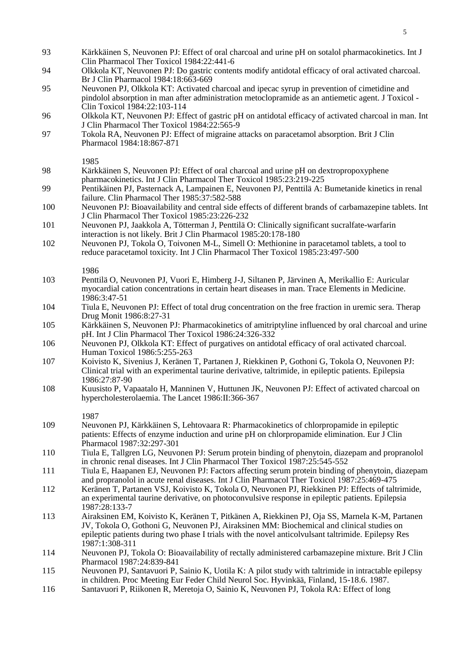- 93 Kärkkäinen S, Neuvonen PJ: Effect of oral charcoal and urine pH on sotalol pharmacokinetics. Int J Clin Pharmacol Ther Toxicol 1984:22:441-6
- 94 Olkkola KT, Neuvonen PJ: Do gastric contents modify antidotal efficacy of oral activated charcoal. Br J Clin Pharmacol 1984:18:663-669
- 95 Neuvonen PJ, Olkkola KT: Activated charcoal and ipecac syrup in prevention of cimetidine and pindolol absorption in man after administration metoclopramide as an antiemetic agent. J Toxicol - Clin Toxicol 1984:22:103-114
- 96 Olkkola KT, Neuvonen PJ: Effect of gastric pH on antidotal efficacy of activated charcoal in man. Int J Clin Pharmacol Ther Toxicol 1984:22:565-9
- 97 Tokola RA, Neuvonen PJ: Effect of migraine attacks on paracetamol absorption. Brit J Clin Pharmacol 1984:18:867-871
	- 1985
- 98 Kärkkäinen S, Neuvonen PJ: Effect of oral charcoal and urine pH on dextropropoxyphene pharmacokinetics. Int J Clin Pharmacol Ther Toxicol 1985:23:219-225
- 99 Pentikäinen PJ, Pasternack A, Lampainen E, Neuvonen PJ, Penttilä A: Bumetanide kinetics in renal failure. Clin Pharmacol Ther 1985:37:582-588
- 100 Neuvonen PJ: Bioavailability and central side effects of different brands of carbamazepine tablets. Int J Clin Pharmacol Ther Toxicol 1985:23:226-232
- 101 Neuvonen PJ, Jaakkola A, Tötterman J, Penttilä O: Clinically significant sucralfate-warfarin interaction is not likely. Brit J Clin Pharmacol 1985:20:178-180
- 102 Neuvonen PJ, Tokola O, Toivonen M-L, Simell O: Methionine in paracetamol tablets, a tool to reduce paracetamol toxicity. Int J Clin Pharmacol Ther Toxicol 1985:23:497-500
	- 1986
- 103 Penttilä O, Neuvonen PJ, Vuori E, Himberg J-J, Siltanen P, Järvinen A, Merikallio E: Auricular myocardial cation concentrations in certain heart diseases in man. Trace Elements in Medicine. 1986:3:47-51
- 104 Tiula E, Neuvonen PJ: Effect of total drug concentration on the free fraction in uremic sera. Therap Drug Monit 1986:8:27-31
- 105 Kärkkäinen S, Neuvonen PJ: Pharmacokinetics of amitriptyline influenced by oral charcoal and urine pH. Int J Clin Pharmacol Ther Toxicol 1986:24:326-332
- 106 Neuvonen PJ, Olkkola KT: Effect of purgatives on antidotal efficacy of oral activated charcoal. Human Toxicol 1986:5:255-263
- 107 Koivisto K, Sivenius J, Keränen T, Partanen J, Riekkinen P, Gothoni G, Tokola O, Neuvonen PJ: Clinical trial with an experimental taurine derivative, taltrimide, in epileptic patients. Epilepsia 1986:27:87-90
- 108 Kuusisto P, Vapaatalo H, Manninen V, Huttunen JK, Neuvonen PJ: Effect of activated charcoal on hypercholesterolaemia. The Lancet 1986:II:366-367
	- 1987
- 109 Neuvonen PJ, Kärkkäinen S, Lehtovaara R: Pharmacokinetics of chlorpropamide in epileptic patients: Effects of enzyme induction and urine pH on chlorpropamide elimination. Eur J Clin Pharmacol 1987:32:297-301
- 110 Tiula E, Tallgren LG, Neuvonen PJ: Serum protein binding of phenytoin, diazepam and propranolol in chronic renal diseases. Int J Clin Pharmacol Ther Toxicol 1987:25:545-552
- 111 Tiula E, Haapanen EJ, Neuvonen PJ: Factors affecting serum protein binding of phenytoin, diazepam and propranolol in acute renal diseases. Int J Clin Pharmacol Ther Toxicol 1987:25:469-475
- 112 Keränen T, Partanen VSJ, Koivisto K, Tokola O, Neuvonen PJ, Riekkinen PJ: Effects of taltrimide, an experimental taurine derivative, on photoconvulsive response in epileptic patients. Epilepsia 1987:28:133-7
- 113 Airaksinen EM, Koivisto K, Keränen T, Pitkänen A, Riekkinen PJ, Oja SS, Marnela K-M, Partanen JV, Tokola O, Gothoni G, Neuvonen PJ, Airaksinen MM: Biochemical and clinical studies on epileptic patients during two phase I trials with the novel anticolvulsant taltrimide. Epilepsy Res 1987:1:308-311
- 114 Neuvonen PJ, Tokola O: Bioavailability of rectally administered carbamazepine mixture. Brit J Clin Pharmacol 1987:24:839-841
- 115 Neuvonen PJ, Santavuori P, Sainio K, Uotila K: A pilot study with taltrimide in intractable epilepsy in children. Proc Meeting Eur Feder Child Neurol Soc. Hyvinkää, Finland, 15-18.6. 1987.
- 116 Santavuori P, Riikonen R, Meretoja O, Sainio K, Neuvonen PJ, Tokola RA: Effect of long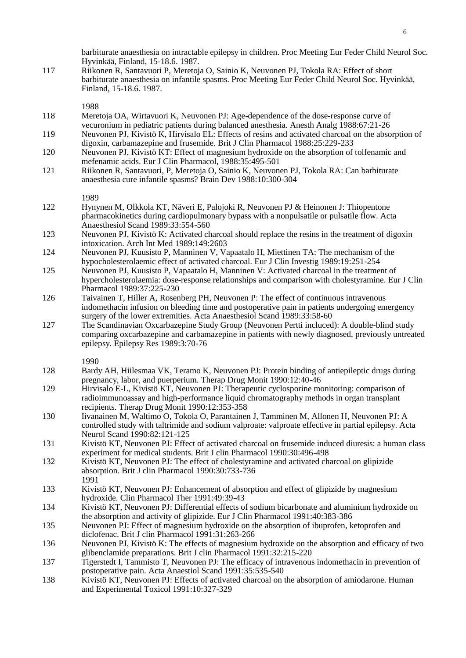barbiturate anaesthesia on intractable epilepsy in children. Proc Meeting Eur Feder Child Neurol Soc. Hyvinkää, Finland, 15-18.6. 1987.

117 Riikonen R, Santavuori P, Meretoja O, Sainio K, Neuvonen PJ, Tokola RA: Effect of short barbiturate anaesthesia on infantile spasms. Proc Meeting Eur Feder Child Neurol Soc. Hyvinkää, Finland, 15-18.6. 1987.

1988

- 118 Meretoja OA, Wirtavuori K, Neuvonen PJ: Age-dependence of the dose-response curve of vecuronium in pediatric patients during balanced anesthesia. Anesth Analg 1988:67:21-26
- 119 Neuvonen PJ, Kivistö K, Hirvisalo EL: Effects of resins and activated charcoal on the absorption of digoxin, carbamazepine and frusemide. Brit J Clin Pharmacol 1988:25:229-233
- 120 Neuvonen PJ, Kivistö KT: Effect of magnesium hydroxide on the absorption of tolfenamic and mefenamic acids. Eur J Clin Pharmacol, 1988:35:495-501
- 121 Riikonen R, Santavuori, P, Meretoja O, Sainio K, Neuvonen PJ, Tokola RA: Can barbiturate anaesthesia cure infantile spasms? Brain Dev 1988:10:300-304

1989

- 122 Hynynen M, Olkkola KT, Näveri E, Palojoki R, Neuvonen PJ & Heinonen J: Thiopentone pharmacokinetics during cardiopulmonary bypass with a nonpulsatile or pulsatile flow. Acta Anaesthesiol Scand 1989:33:554-560
- 123 Neuvonen PJ, Kivistö K: Activated charcoal should replace the resins in the treatment of digoxin intoxication. Arch Int Med 1989:149:2603
- 124 Neuvonen PJ, Kuusisto P, Manninen V, Vapaatalo H, Miettinen TA: The mechanism of the hypocholesterolaemic effect of activated charcoal. Eur J Clin Investig 1989:19:251-254
- 125 Neuvonen PJ, Kuusisto P, Vapaatalo H, Manninen V: Activated charcoal in the treatment of hypercholesterolaemia: dose-response relationships and comparison with cholestyramine. Eur J Clin Pharmacol 1989:37:225-230
- 126 Taivainen T, Hiller A, Rosenberg PH, Neuvonen P: The effect of continuous intravenous indomethacin infusion on bleeding time and postoperative pain in patients undergoing emergency surgery of the lower extremities. Acta Anaesthesiol Scand 1989:33:58-60
- 127 The Scandinavian Oxcarbazepine Study Group (Neuvonen Pertti incluced): A double-blind study comparing oxcarbazepine and carbamazepine in patients with newly diagnosed, previously untreated epilepsy. Epilepsy Res 1989:3:70-76

1990

- 128 Bardy AH, Hiilesmaa VK, Teramo K, Neuvonen PJ: Protein binding of antiepileptic drugs during pregnancy, labor, and puerperium. Therap Drug Monit 1990:12:40-46
- 129 Hirvisalo E-L, Kivistö KT, Neuvonen PJ: Therapeutic cyclosporine monitoring: comparison of radioimmunoassay and high-performance liquid chromatography methods in organ transplant recipients. Therap Drug Monit 1990:12:353-358
- 130 Iivanainen M, Waltimo O, Tokola O, Parantainen J, Tamminen M, Allonen H, Neuvonen PJ: A controlled study with taltrimide and sodium valproate: valproate effective in partial epilepsy. Acta Neurol Scand 1990:82:121-125
- 131 Kivistö KT, Neuvonen PJ: Effect of activated charcoal on frusemide induced diuresis: a human class experiment for medical students. Brit J clin Pharmacol 1990:30:496-498
- 132 Kivistö KT, Neuvonen PJ: The effect of cholestyramine and activated charcoal on glipizide absorption. Brit J clin Pharmacol 1990:30:733-736 1991
- 133 Kivistö KT, Neuvonen PJ: Enhancement of absorption and effect of glipizide by magnesium hydroxide. Clin Pharmacol Ther 1991:49:39-43
- 134 Kivistö KT, Neuvonen PJ: Differential effects of sodium bicarbonate and aluminium hydroxide on the absorption and activity of glipizide. Eur J Clin Pharmacol 1991:40:383-386
- 135 Neuvonen PJ: Effect of magnesium hydroxide on the absorption of ibuprofen, ketoprofen and diclofenac. Brit J clin Pharmacol 1991:31:263-266

136 Neuvonen PJ, Kivistö K: The effects of magnesium hydroxide on the absorption and efficacy of two glibenclamide preparations. Brit J clin Pharmacol 1991:32:215-220

- 137 Tigerstedt I, Tammisto T, Neuvonen PJ: The efficacy of intravenous indomethacin in prevention of postoperative pain. Acta Anaestiol Scand 1991:35:535-540
- 138 Kivistö KT, Neuvonen PJ: Effects of activated charcoal on the absorption of amiodarone. Human and Experimental Toxicol 1991:10:327-329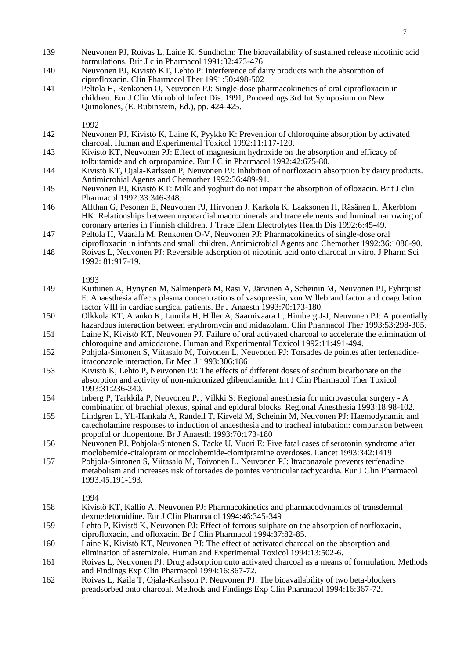- 139 Neuvonen PJ, Roivas L, Laine K, Sundholm: The bioavailability of sustained release nicotinic acid formulations. Brit J clin Pharmacol 1991:32:473-476
- 140 Neuvonen PJ, Kivistö KT, Lehto P: Interference of dairy products with the absorption of ciprofloxacin. Clin Pharmacol Ther 1991:50:498-502
- 141 Peltola H, Renkonen O, Neuvonen PJ: Single-dose pharmacokinetics of oral ciprofloxacin in children. Eur J Clin Microbiol Infect Dis. 1991, Proceedings 3rd Int Symposium on New Quinolones, (E. Rubinstein, Ed.), pp. 424-425.
	- 1992
- 142 Neuvonen PJ, Kivistö K, Laine K, Pyykkö K: Prevention of chloroquine absorption by activated charcoal. Human and Experimental Toxicol 1992:11:117-120.
- 143 Kivistö KT, Neuvonen PJ: Effect of magnesium hydroxide on the absorption and efficacy of tolbutamide and chlorpropamide. Eur J Clin Pharmacol 1992:42:675-80.
- 144 Kivistö KT, Ojala-Karlsson P, Neuvonen PJ: Inhibition of norfloxacin absorption by dairy products. Antimicrobial Agents and Chemother 1992:36:489-91.
- 145 Neuvonen PJ, Kivistö KT: Milk and yoghurt do not impair the absorption of ofloxacin. Brit J clin Pharmacol 1992:33:346-348.
- 146 Alfthan G, Pesonen E, Neuvonen PJ, Hirvonen J, Karkola K, Laaksonen H, Räsänen L, Åkerblom HK: Relationships between myocardial macrominerals and trace elements and luminal narrowing of coronary arteries in Finnish children. J Trace Elem Electrolytes Health Dis 1992:6:45-49.
- 147 Peltola H, Väärälä M, Renkonen O-V, Neuvonen PJ: Pharmacokinetics of single-dose oral ciprofloxacin in infants and small children. Antimicrobial Agents and Chemother 1992:36:1086-90.
- 148 Roivas L, Neuvonen PJ: Reversible adsorption of nicotinic acid onto charcoal in vitro. J Pharm Sci 1992: 81:917-19.

- 149 Kuitunen A, Hynynen M, Salmenperä M, Rasi V, Järvinen A, Scheinin M, Neuvonen PJ, Fyhrquist F: Anaesthesia affects plasma concentrations of vasopressin, von Willebrand factor and coagulation factor VIII in cardiac surgical patients. Br J Anaesth 1993:70:173-180.
- 150 Olkkola KT, Aranko K, Luurila H, Hiller A, Saarnivaara L, Himberg J-J, Neuvonen PJ: A potentially hazardous interaction between erythromycin and midazolam. Clin Pharmacol Ther 1993:53:298-305.
- 151 Laine K, Kivistö KT, Neuvonen PJ. Failure of oral activated charcoal to accelerate the elimination of chloroquine and amiodarone. Human and Experimental Toxicol 1992:11:491-494.
- 152 Pohjola-Sintonen S, Viitasalo M, Toivonen L, Neuvonen PJ: Torsades de pointes after terfenadineitraconazole interaction. Br Med J 1993:306:186
- 153 Kivistö K, Lehto P, Neuvonen PJ: The effects of different doses of sodium bicarbonate on the absorption and activity of non-micronized glibenclamide. Int J Clin Pharmacol Ther Toxicol 1993:31:236-240.
- 154 Inberg P, Tarkkila P, Neuvonen PJ, Vilkki S: Regional anesthesia for microvascular surgery A combination of brachial plexus, spinal and epidural blocks. Regional Anesthesia 1993:18:98-102.
- 155 Lindgren L, Yli-Hankala A, Randell T, Kirvelä M, Scheinin M, Neuvonen PJ: Haemodynamic and catecholamine responses to induction of anaesthesia and to tracheal intubation: comparison between propofol or thiopentone. Br J Anaesth 1993:70:173-180
- 156 Neuvonen PJ, Pohjola-Sintonen S, Tacke U, Vuori E: Five fatal cases of serotonin syndrome after moclobemide-citalopram or moclobemide-clomipramine overdoses. Lancet 1993:342:1419
- 157 Pohjola-Sintonen S, Viitasalo M, Toivonen L, Neuvonen PJ: Itraconazole prevents terfenadine metabolism and increases risk of torsades de pointes ventricular tachycardia. Eur J Clin Pharmacol 1993:45:191-193.

- 158 Kivistö KT, Kallio A, Neuvonen PJ: Pharmacokinetics and pharmacodynamics of transdermal dexmedetomidine. Eur J Clin Pharmacol 1994:46:345-349
- 159 Lehto P, Kivistö K, Neuvonen PJ: Effect of ferrous sulphate on the absorption of norfloxacin, ciprofloxacin, and ofloxacin. Br J Clin Pharmacol 1994:37:82-85.
- 160 Laine K, Kivistö KT, Neuvonen PJ: The effect of activated charcoal on the absorption and elimination of astemizole. Human and Experimental Toxicol 1994:13:502-6.
- 161 Roivas L, Neuvonen PJ: Drug adsorption onto activated charcoal as a means of formulation. Methods and Findings Exp Clin Pharmacol 1994:16:367-72.
- 162 Roivas L, Kaila T, Ojala-Karlsson P, Neuvonen PJ: The bioavailability of two beta-blockers preadsorbed onto charcoal. Methods and Findings Exp Clin Pharmacol 1994:16:367-72.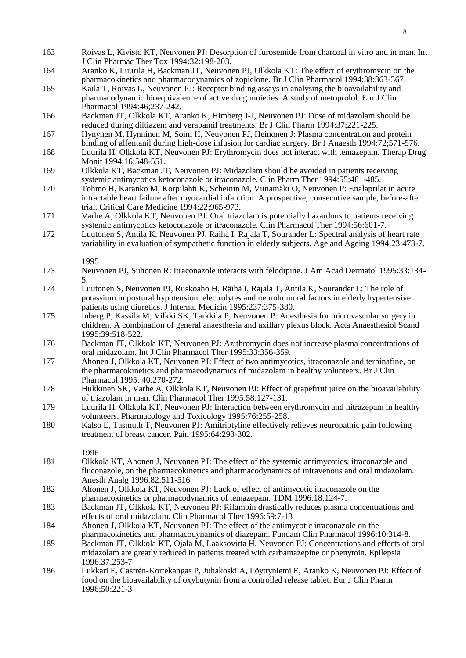| 163        | Roivas L, Kivistö KT, Neuvonen PJ: Desorption of furosemide from charcoal in vitro and in man. Int<br>J Clin Pharmac Ther Tox 1994:32:198-203.                                                                                                                   |
|------------|------------------------------------------------------------------------------------------------------------------------------------------------------------------------------------------------------------------------------------------------------------------|
| 164        | Aranko K, Luurila H, Backman JT, Neuvonen PJ, Olkkola KT: The effect of erythromycin on the<br>pharmacokinetics and pharmacodynamics of zopiclone. Br J Clin Pharmacol 1994:38:363-367.                                                                          |
| 165        | Kaila T, Roivas L, Neuvonen PJ: Receptor binding assays in analysing the bioavailability and<br>pharmacodynamic bioequivalence of active drug moieties. A study of metoprolol. Eur J Clin<br>Pharmacol 1994:46;237-242.                                          |
| 166        | Backman JT, Olkkola KT, Aranko K, Himberg J-J, Neuvonen PJ: Dose of midazolam should be<br>reduced during diltiazem and verapamil treatments. Br J Clin Pharm 1994:37;221-225.                                                                                   |
| 167        | Hynynen M, Hynninen M, Soini H, Neuvonen PJ, Heinonen J: Plasma concentration and protein<br>binding of alfentanil during high-dose infusion for cardiac surgery. Br J Anaesth 1994:72;571-576.                                                                  |
| 168<br>169 | Luurila H, Olkkola KT, Neuvonen PJ: Erythromycin does not interact with temazepam. Therap Drug<br>Monit 1994:16;548-551.<br>Olkkola KT, Backman JT, Neuvonen PJ: Midazolam should be avoided in patients receiving                                               |
|            | systemic antimycotics ketoconazole or itraconazole. Clin Pharm Ther 1994:55;481-485.                                                                                                                                                                             |
| 170        | Tohmo H, Karanko M, Korpilahti K, Scheinin M, Viinamäki O, Neuvonen P: Enalaprilat in acute<br>intractable heart failure after myocardial infarction: A prospective, consecutive sample, before-after<br>trial. Critical Care Medicine 1994:22;965-973.          |
| 171        | Varhe A, Olkkola KT, Neuvonen PJ: Oral triazolam is potentially hazardous to patients receiving<br>systemic antimycotics ketoconazole or itraconazole. Clin Pharmacol Ther 1994:56:601-7.                                                                        |
| 172        | Luutonen S, Antila K, Neuvonen PJ, Räihä I, Rajala T, Sourander L: Spectral analysis of heart rate<br>variability in evaluation of sympathetic function in elderly subjects. Age and Ageing 1994:23:473-7.                                                       |
| 173        | 1995<br>Neuvonen PJ, Suhonen R: Itraconazole interacts with felodipine. J Am Acad Dermatol 1995:33:134-                                                                                                                                                          |
|            | 5.                                                                                                                                                                                                                                                               |
| 174        | Luutonen S, Neuvonen PJ, Ruskoaho H, Räihä I, Rajala T, Antila K, Sourander L: The role of<br>potassium in postural hypotension: electrolytes and neurohumoral factors in elderly hypertensive<br>patients using diuretics. J Internal Medicin 1995:237:375-380. |
| 175        | Inberg P, Kassila M, Vilkki SK, Tarkkila P, Neuvonen P: Anesthesia for microvascular surgery in<br>children. A combination of general anaesthesia and axillary plexus block. Acta Anaesthesiol Scand<br>1995:39:518-522.                                         |
| 176        | Backman JT, Olkkola KT, Neuvonen PJ: Azithromycin does not increase plasma concentrations of<br>oral midazolam. Int J Clin Pharmacol Ther 1995:33:356-359.                                                                                                       |
| 177        | Ahonen J, Olkkola KT, Neuvonen PJ: Effect of two antimycotics, itraconazole and terbinafine, on<br>the pharmacokinetics and pharmacodynamics of midazolam in healthy volunteers. Br J Clin<br>Pharmacol 1995: 40:270-272.                                        |
| 178        | Hukkinen SK, Varhe A, Olkkola KT, Neuvonen PJ: Effect of grapefruit juice on the bioavailability<br>of triazolam in man. Clin Pharmacol Ther 1995:58:127-131.                                                                                                    |
| 179        | Luurila H, Olkkola KT, Neuvonen PJ: Interaction between erythromycin and nitrazepam in healthy<br>volunteers. Pharmacology and Toxicology 1995:76:255-258.                                                                                                       |
| 180        | Kalso E, Tasmuth T, Neuvonen PJ: Amitriptyline effectively relieves neuropathic pain following<br>treatment of breast cancer. Pain 1995:64:293-302.                                                                                                              |
| 181        | 1996<br>Olkkola KT, Ahonen J, Neuvonen PJ: The effect of the systemic antimycotics, itraconazole and<br>fluconazole, on the pharmacokinetics and pharmacodynamics of intravenous and oral midazolam.<br>Anesth Analg 1996:82:511-516                             |
| 182        | Ahonen J, Olkkola KT, Neuvonen PJ: Lack of effect of antimycotic itraconazole on the<br>pharmacokinetics or pharmacodynamics of temazepam. TDM 1996:18:124-7.                                                                                                    |
| 183        | Backman JT, Olkkola KT, Neuvonen PJ: Rifampin drastically reduces plasma concentrations and<br>effects of oral midazolam. Clin Pharmacol Ther 1996:59:7-13                                                                                                       |
| 184        | Ahonen J, Olkkola KT, Neuvonen PJ: The effect of the antimycotic itraconazole on the<br>pharmacokinetics and pharmacodynamics of diazepam. Fundam Clin Pharmacol 1996:10:314-8.                                                                                  |
| 185        | Backman JT, Olkkola KT, Ojala M, Laaksovirta H, Neuvonen PJ: Concentrations and effects of oral<br>midazolam are greatly reduced in patients treated with carbamazepine or phenytoin. Epilepsia<br>1996:37:253-7                                                 |
| 186        | Lukkari E, Castrén-Kortekangas P, Juhakoski A, Löyttyniemi E, Aranko K, Neuvonen PJ: Effect of<br>food on the bioavailability of oxybutynin from a controlled release tablet. Eur J Clin Pharm<br>1996;50:221-3                                                  |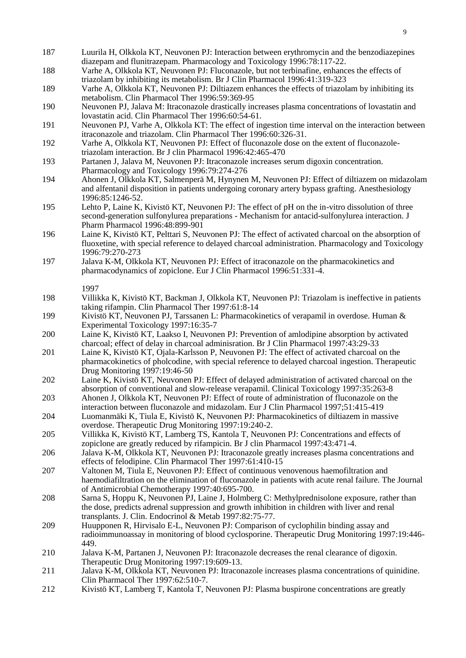- 187 Luurila H, Olkkola KT, Neuvonen PJ: Interaction between erythromycin and the benzodiazepines diazepam and flunitrazepam. Pharmacology and Toxicology 1996:78:117-22.
- 188 Varhe A, Olkkola KT, Neuvonen PJ: Fluconazole, but not terbinafine, enhances the effects of triazolam by inhibiting its metabolism. Br J Clin Pharmacol 1996:41:319-323
- 189 Varhe A, Olkkola KT, Neuvonen PJ: Diltiazem enhances the effects of triazolam by inhibiting its metabolism. Clin Pharmacol Ther 1996:59:369-95
- 190 Neuvonen PJ, Jalava M: Itraconazole drastically increases plasma concentrations of lovastatin and lovastatin acid. Clin Pharmacol Ther 1996:60:54-61.
- 191 Neuvonen PJ, Varhe A, Olkkola KT: The effect of ingestion time interval on the interaction between itraconazole and triazolam. Clin Pharmacol Ther 1996:60:326-31.
- 192 Varhe A, Olkkola KT, Neuvonen PJ: Effect of fluconazole dose on the extent of fluconazoletriazolam interaction. Br J clin Pharmacol 1996:42:465-470
- 193 Partanen J, Jalava M, Neuvonen PJ: Itraconazole increases serum digoxin concentration. Pharmacology and Toxicology 1996:79:274-276
- 194 Ahonen J, Olkkola KT, Salmenperä M, Hynynen M, Neuvonen PJ: Effect of diltiazem on midazolam and alfentanil disposition in patients undergoing coronary artery bypass grafting. Anesthesiology 1996:85:1246-52.
- 195 Lehto P, Laine K, Kivistö KT, Neuvonen PJ: The effect of pH on the in-vitro dissolution of three second-generation sulfonylurea preparations - Mechanism for antacid-sulfonylurea interaction. J Pharm Pharmacol 1996:48:899-901
- 196 Laine K, Kivistö KT, Pelttari S, Neuvonen PJ: The effect of activated charcoal on the absorption of fluoxetine, with special reference to delayed charcoal administration. Pharmacology and Toxicology 1996:79:270-273
- 197 Jalava K-M, Olkkola KT, Neuvonen PJ: Effect of itraconazole on the pharmacokinetics and pharmacodynamics of zopiclone. Eur J Clin Pharmacol 1996:51:331-4.

- 198 Villikka K, Kivistö KT, Backman J, Olkkola KT, Neuvonen PJ: Triazolam is ineffective in patients taking rifampin. Clin Pharmacol Ther 1997:61:8-14
- 199 Kivistö KT, Neuvonen PJ, Tarssanen L: Pharmacokinetics of verapamil in overdose. Human & Experimental Toxicology 1997:16:35-7
- 200 Laine K, Kivistö KT, Laakso I, Neuvonen PJ: Prevention of amlodipine absorption by activated charcoal; effect of delay in charcoal adminisration. Br J Clin Pharmacol 1997:43:29-33
- 201 Laine K, Kivistö KT, Ojala-Karlsson P, Neuvonen PJ: The effect of activated charcoal on the pharmacokinetics of pholcodine, with special reference to delayed charcoal ingestion. Therapeutic Drug Monitoring 1997:19:46-50
- 202 Laine K, Kivistö KT, Neuvonen PJ: Effect of delayed administration of activated charcoal on the absorption of conventional and slow-release verapamil. Clinical Toxicology 1997:35:263-8
- 203 Ahonen J, Olkkola KT, Neuvonen PJ: Effect of route of administration of fluconazole on the interaction between fluconazole and midazolam. Eur J Clin Pharmacol 1997;51:415-419
- 204 Luomanmäki K, Tiula E, Kivistö K, Neuvonen PJ: Pharmacokinetics of diltiazem in massive overdose. Therapeutic Drug Monitoring 1997:19:240-2.
- 205 Villikka K, Kivistö KT, Lamberg TS, Kantola T, Neuvonen PJ: Concentrations and effects of zopiclone are greatly reduced by rifampicin. Br J clin Pharmacol 1997:43:471-4.
- 206 Jalava K-M, Olkkola KT, Neuvonen PJ: Itraconazole greatly increases plasma concentrations and effects of felodipine. Clin Pharmacol Ther 1997:61:410-15
- 207 Valtonen M, Tiula E, Neuvonen PJ: Effect of continuous venovenous haemofiltration and haemodiafiltration on the elimination of fluconazole in patients with acute renal failure. The Journal of Antimicrobial Chemotherapy 1997:40:695-700.
- 208 Sarna S, Hoppu K, Neuvonen PJ, Laine J, Holmberg C: Methylprednisolone exposure, rather than the dose, predicts adrenal suppression and growth inhibition in children with liver and renal transplants. J. Clin. Endocrinol & Metab 1997:82:75-77.
- 209 Huupponen R, Hirvisalo E-L, Neuvonen PJ: Comparison of cyclophilin binding assay and radioimmunoassay in monitoring of blood cyclosporine. Therapeutic Drug Monitoring 1997:19:446- 449.
- 210 Jalava K-M, Partanen J, Neuvonen PJ: Itraconazole decreases the renal clearance of digoxin. Therapeutic Drug Monitoring 1997:19:609-13.
- 211 Jalava K-M, Olkkola KT, Neuvonen PJ: Itraconazole increases plasma concentrations of quinidine. Clin Pharmacol Ther 1997:62:510-7.
- 212 Kivistö KT, Lamberg T, Kantola T, Neuvonen PJ: Plasma buspirone concentrations are greatly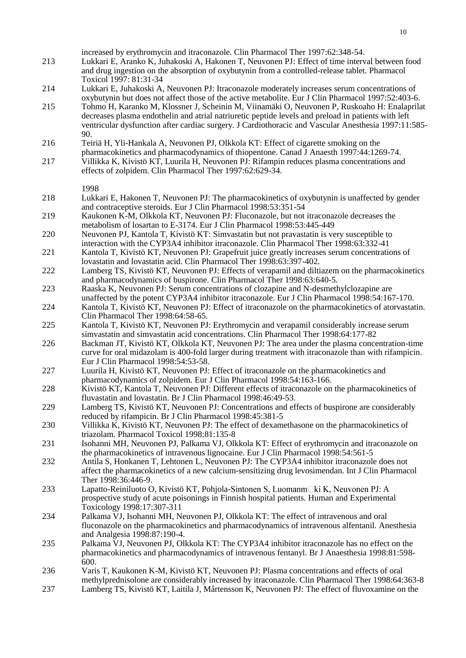| 213 | increased by erythromycin and itraconazole. Clin Pharmacol Ther 1997:62:348-54.<br>Lukkari E, Aranko K, Juhakoski A, Hakonen T, Neuvonen PJ: Effect of time interval between food<br>and drug ingestion on the absorption of oxybutynin from a controlled-release tablet. Pharmacol                                                                                                                                      |
|-----|--------------------------------------------------------------------------------------------------------------------------------------------------------------------------------------------------------------------------------------------------------------------------------------------------------------------------------------------------------------------------------------------------------------------------|
| 214 | Toxicol 1997: 81:31-34<br>Lukkari E, Juhakoski A, Neuvonen PJ: Itraconazole moderately increases serum concentrations of                                                                                                                                                                                                                                                                                                 |
| 215 | oxybutynin but does not affect those of the active metabolite. Eur J Clin Pharmacol 1997:52:403-6.<br>Tohmo H, Karanko M, Klossner J, Scheinin M, Viinamäki O, Neuvonen P, Ruskoaho H: Enalaprilat<br>decreases plasma endothelin and atrial natriuretic peptide levels and preload in patients with left<br>ventricular dysfunction after cardiac surgery. J Cardiothoracic and Vascular Anesthesia 1997:11:585-<br>90. |
| 216 | Teiriä H, Yli-Hankala A, Neuvonen PJ, Olkkola KT: Effect of cigarette smoking on the                                                                                                                                                                                                                                                                                                                                     |
| 217 | pharmacokinetics and pharmacodynamics of thiopentone. Canad J Anaesth 1997:44:1269-74.<br>Villikka K, Kivistö KT, Luurila H, Neuvonen PJ: Rifampin reduces plasma concentrations and<br>effects of zolpidem. Clin Pharmacol Ther 1997:62:629-34.                                                                                                                                                                         |
|     | 1998                                                                                                                                                                                                                                                                                                                                                                                                                     |
| 218 | Lukkari E, Hakonen T, Neuvonen PJ: The pharmacokinetics of oxybutynin is unaffected by gender<br>and contraceptive steroids. Eur J Clin Pharmacol 1998:53:351-54                                                                                                                                                                                                                                                         |
| 219 | Kaukonen K-M, Olkkola KT, Neuvonen PJ: Fluconazole, but not itraconazole decreases the<br>metabolism of losartan to E-3174. Eur J Clin Pharmacol 1998:53:445-449                                                                                                                                                                                                                                                         |
| 220 | Neuvonen PJ, Kantola T, Kivistö KT: Simvastatin but not pravastatin is very susceptible to<br>interaction with the CYP3A4 inhibitor itraconazole. Clin Pharmacol Ther 1998:63:332-41                                                                                                                                                                                                                                     |
| 221 | Kantola T, Kivistö KT, Neuvonen PJ: Grapefruit juice greatly increases serum concentrations of<br>lovastatin and lovastatin acid. Clin Pharmacol Ther 1998:63:397-402.                                                                                                                                                                                                                                                   |
| 222 | Lamberg TS, Kivistö KT, Neuvonen PJ: Effects of verapamil and diltiazem on the pharmacokinetics<br>and pharmacodynamics of buspirone. Clin Pharmacol Ther 1998:63:640-5.                                                                                                                                                                                                                                                 |
| 223 | Raaska K, Neuvonen PJ: Serum concentrations of clozapine and N-desmethylclozapine are<br>unaffected by the potent CYP3A4 inhibitor itraconazole. Eur J Clin Pharmacol 1998:54:167-170.                                                                                                                                                                                                                                   |
| 224 | Kantola T, Kivistö KT, Neuvonen PJ: Effect of itraconazole on the pharmacokinetics of atorvastatin.<br>Clin Pharmacol Ther 1998:64:58-65.                                                                                                                                                                                                                                                                                |
| 225 | Kantola T, Kivistö KT, Neuvonen PJ: Erythromycin and verapamil considerably increase serum<br>simvastatin and simvastatin acid concentrations. Clin Pharmacol Ther 1998:64:177-82                                                                                                                                                                                                                                        |
| 226 | Backman JT, Kivistö KT, Olkkola KT, Neuvonen PJ: The area under the plasma concentration-time<br>curve for oral midazolam is 400-fold larger during treatment with itraconazole than with rifampicin.<br>Eur J Clin Pharmacol 1998:54:53-58.                                                                                                                                                                             |
| 227 | Luurila H, Kivistö KT, Neuvonen PJ: Effect of itraconazole on the pharmacokinetics and<br>pharmacodynamics of zolpidem. Eur J Clin Pharmacol 1998:54:163-166.                                                                                                                                                                                                                                                            |
| 228 | Kivistö KT, Kantola T, Neuvonen PJ: Different effects of itraconazole on the pharmacokinetics of<br>fluvastatin and lovastatin. Br J Clin Pharmacol 1998:46:49-53.                                                                                                                                                                                                                                                       |
| 229 | Lamberg TS, Kivistö KT, Neuvonen PJ: Concentrations and effects of buspirone are considerably<br>reduced by rifampicin. Br J Clin Pharmacol 1998:45:381-5                                                                                                                                                                                                                                                                |
| 230 | Villikka K, Kivistö KT, Neuvonen PJ: The effect of dexamethasone on the pharmacokinetics of<br>triazolam. Pharmacol Toxicol 1998:81:135-8                                                                                                                                                                                                                                                                                |
| 231 | Isohanni MH, Neuvonen PJ, Palkama VJ, Olkkola KT: Effect of erythromycin and itraconazole on<br>the pharmacokinetics of intravenous lignocaine. Eur J Clin Pharmacol 1998:54:561-5                                                                                                                                                                                                                                       |
| 232 | Antila S, Honkanen T, Lehtonen L, Neuvonen PJ: The CYP3A4 inhibitor itraconazole does not<br>affect the pharmacokinetics of a new calcium-sensitizing drug levosimendan. Int J Clin Pharmacol<br>Ther 1998:36:446-9.                                                                                                                                                                                                     |
| 233 | Lapatto-Reiniluoto O, Kivistö KT, Pohjola-Sintonen S, Luomanm□ki K, Neuvonen PJ: A<br>prospective study of acute poisonings in Finnish hospital patients. Human and Experimental                                                                                                                                                                                                                                         |
| 234 | Toxicology 1998:17:307-311<br>Palkama VJ, Isohanni MH, Neuvonen PJ, Olkkola KT: The effect of intravenous and oral<br>fluconazole on the pharmacokinetics and pharmacodynamics of intravenous alfentanil. Anesthesia<br>and Analgesia 1998:87:190-4.                                                                                                                                                                     |
| 235 | Palkama VJ, Neuvonen PJ, Olkkola KT: The CYP3A4 inhibitor itraconazole has no effect on the<br>pharmacokinetics and pharmacodynamics of intravenous fentanyl. Br J Anaesthesia 1998:81:598-<br>600.                                                                                                                                                                                                                      |
| 236 | Varis T, Kaukonen K-M, Kivistö KT, Neuvonen PJ: Plasma concentrations and effects of oral<br>methylprednisolone are considerably increased by itraconazole. Clin Pharmacol Ther 1998:64:363-8                                                                                                                                                                                                                            |
| 237 | Lamberg TS, Kivistö KT, Laitila J, Mårtensson K, Neuvonen PJ: The effect of fluvoxamine on the                                                                                                                                                                                                                                                                                                                           |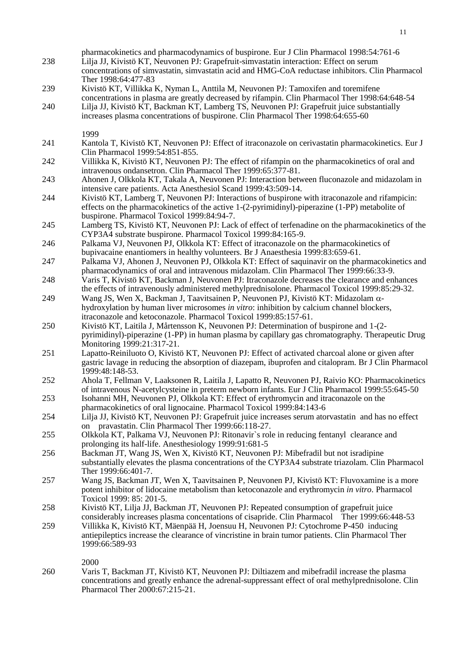pharmacokinetics and pharmacodynamics of buspirone. Eur J Clin Pharmacol 1998:54:761-6 238 Lilja JJ, Kivistö KT, Neuvonen PJ: Grapefruit-simvastatin interaction: Effect on serum concentrations of simvastatin, simvastatin acid and HMG-CoA reductase inhibitors. Clin Pharmacol Ther 1998:64:477-83 239 Kivistö KT, Villikka K, Nyman L, Anttila M, Neuvonen PJ: Tamoxifen and toremifene concentrations in plasma are greatly decreased by rifampin. Clin Pharmacol Ther 1998:64:648-54 240 Lilja JJ, Kivistö KT, Backman KT, Lamberg TS, Neuvonen PJ: Grapefruit juice substantially increases plasma concentrations of buspirone. Clin Pharmacol Ther 1998:64:655-60 1999 241 Kantola T, Kivistö KT, Neuvonen PJ: Effect of itraconazole on cerivastatin pharmacokinetics. Eur J Clin Pharmacol 1999:54:851-855. 242 Villikka K, Kivistö KT, Neuvonen PJ: The effect of rifampin on the pharmacokinetics of oral and intravenous ondansetron. Clin Pharmacol Ther 1999:65:377-81. 243 Ahonen J, Olkkola KT, Takala A, Neuvonen PJ: Interaction between fluconazole and midazolam in intensive care patients. Acta Anesthesiol Scand 1999:43:509-14. 244 Kivistö KT, Lamberg T, Neuvonen PJ: Interactions of buspirone with itraconazole and rifampicin: effects on the pharmacokinetics of the active 1-(2-pyrimidinyl)-piperazine (1-PP) metabolite of buspirone. Pharmacol Toxicol 1999:84:94-7. 245 Lamberg TS, Kivistö KT, Neuvonen PJ: Lack of effect of terfenadine on the pharmacokinetics of the CYP3A4 substrate buspirone. Pharmacol Toxicol 1999:84:165-9. 246 Palkama VJ, Neuvonen PJ, Olkkola KT: Effect of itraconazole on the pharmacokinetics of bupivacaine enantiomers in healthy volunteers. Br J Anaesthesia 1999:83:659-61. 247 Palkama VJ, Ahonen J, Neuvonen PJ, Olkkola KT: Effect of saquinavir on the pharmacokinetics and pharmacodynamics of oral and intravenous midazolam. Clin Pharmacol Ther 1999:66:33-9. 248 Varis T, Kivistö KT, Backman J, Neuvonen PJ: Itraconazole decreases the clearance and enhances the effects of intravenously administered methylprednisolone. Pharmacol Toxicol 1999:85:29-32. 249 Wang JS, Wen X, Backman J, Taavitsainen P, Neuvonen PJ, Kivistö KT: Midazolam  $\alpha$ hydroxylation by human liver microsomes *in vitro*: inhibition by calcium channel blockers, itraconazole and ketoconazole. Pharmacol Toxicol 1999:85:157-61. 250 Kivistö KT, Laitila J, Mårtensson K, Neuvonen PJ: Determination of buspirone and 1-(2 pyrimidinyl)-piperazine (1-PP) in human plasma by capillary gas chromatography. Therapeutic Drug Monitoring 1999:21:317-21. 251 Lapatto-Reiniluoto O, Kivistö KT, Neuvonen PJ: Effect of activated charcoal alone or given after gastric lavage in reducing the absorption of diazepam, ibuprofen and citalopram. Br J Clin Pharmacol 1999:48:148-53. 252 Ahola T, Fellman V, Laaksonen R, Laitila J, Lapatto R, Neuvonen PJ, Raivio KO: Pharmacokinetics of intravenous N-acetylcysteine in preterm newborn infants. Eur J Clin Pharmacol 1999:55:645-50 253 Isohanni MH, Neuvonen PJ, Olkkola KT: Effect of erythromycin and itraconazole on the pharmacokinetics of oral lignocaine. Pharmacol Toxicol 1999:84:143-6 254 Lilja JJ, Kivistö KT, Neuvonen PJ: Grapefruit juice increases serum atorvastatin and has no effect on pravastatin. Clin Pharmacol Ther 1999:66:118-27. 255 Olkkola KT, Palkama VJ, Neuvonen PJ: Ritonavir`s role in reducing fentanyl clearance and prolonging its half-life. Anesthesiology 1999:91:681-5 256 Backman JT, Wang JS, Wen X, Kivistö KT, Neuvonen PJ: Mibefradil but not isradipine substantially elevates the plasma concentrations of the CYP3A4 substrate triazolam. Clin Pharmacol Ther 1999:66:401-7. 257 Wang JS, Backman JT, Wen X, Taavitsainen P, Neuvonen PJ, Kivistö KT: Fluvoxamine is a more potent inhibitor of lidocaine metabolism than ketoconazole and erythromycin *in vitro*. Pharmacol Toxicol 1999: 85: 201-5. 258 Kivistö KT, Lilja JJ, Backman JT, Neuvonen PJ: Repeated consumption of grapefruit juice considerably increases plasma concentations of cisapride. Clin Pharmacol Ther 1999:66:448-53 259 Villikka K, Kivistö KT, Mäenpää H, Joensuu H, Neuvonen PJ: Cytochrome P-450 inducing antiepileptics increase the clearance of vincristine in brain tumor patients. Clin Pharmacol Ther 1999:66:589-93 2000 260 Varis T, Backman JT, Kivistö KT, Neuvonen PJ: Diltiazem and mibefradil increase the plasma concentrations and greatly enhance the adrenal-suppressant effect of oral methylprednisolone. Clin Pharmacol Ther 2000:67:215-21.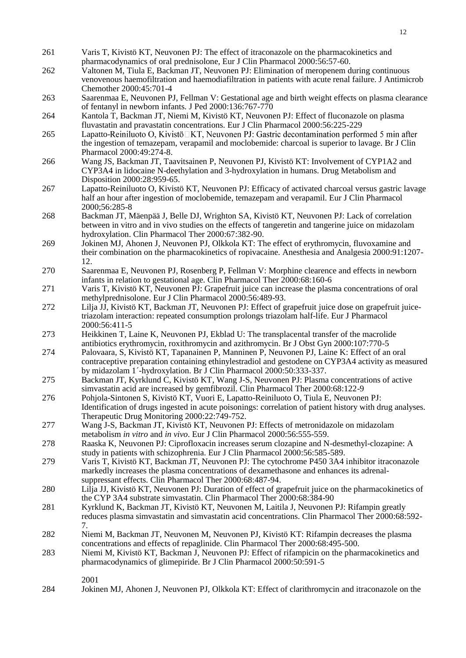- 261 Varis T, Kivistö KT, Neuvonen PJ: The effect of itraconazole on the pharmacokinetics and pharmacodynamics of oral prednisolone, Eur J Clin Pharmacol 2000:56:57-60.
- 262 Valtonen M, Tiula E, Backman JT, Neuvonen PJ: Elimination of meropenem during continuous venovenous haemofiltration and haemodiafiltration in patients with acute renal failure. J Antimicrob Chemother 2000:45:701-4
- 263 Saarenmaa E, Neuvonen PJ, Fellman V: Gestational age and birth weight effects on plasma clearance of fentanyl in newborn infants. J Ped 2000:136:767-770
- 264 Kantola T, Backman JT, Niemi M, Kivistö KT, Neuvonen PJ: Effect of fluconazole on plasma fluvastatin and pravastatin concentrations. Eur J Clin Pharmacol 2000:56:225-229
- 265 Lapatto-Reiniluoto O. Kivistö $\Box$ KT. Neuvonen PJ: Gastric decontamination performed 5 min after the ingestion of temazepam, verapamil and moclobemide: charcoal is superior to lavage. Br J Clin Pharmacol 2000:49:274-8.
- 266 Wang JS, Backman JT, Taavitsainen P, Neuvonen PJ, Kivistö KT: Involvement of CYP1A2 and CYP3A4 in lidocaine N-deethylation and 3-hydroxylation in humans. Drug Metabolism and Disposition 2000:28:959-65.
- 267 Lapatto-Reiniluoto O, Kivistö KT, Neuvonen PJ: Efficacy of activated charcoal versus gastric lavage half an hour after ingestion of moclobemide, temazepam and verapamil. Eur J Clin Pharmacol 2000;56:285-8
- 268 Backman JT, Mäenpää J, Belle DJ, Wrighton SA, Kivistö KT, Neuvonen PJ: Lack of correlation between in vitro and in vivo studies on the effects of tangeretin and tangerine juice on midazolam hydroxylation. Clin Pharmacol Ther 2000:67:382-90.
- 269 Jokinen MJ, Ahonen J, Neuvonen PJ, Olkkola KT: The effect of erythromycin, fluvoxamine and their combination on the pharmacokinetics of ropivacaine. Anesthesia and Analgesia 2000:91:1207- 12.
- 270 Saarenmaa E, Neuvonen PJ, Rosenberg P, Fellman V: Morphine clearence and effects in newborn infants in relation to gestational age. Clin Pharmacol Ther 2000:68:160-6
- 271 Varis T, Kivistö KT, Neuvonen PJ: Grapefruit juice can increase the plasma concentrations of oral methylprednisolone. Eur J Clin Pharmacol 2000:56:489-93.
- 272 Lilja JJ, Kivistö KT, Backman JT, Neuvonen PJ: Effect of grapefruit juice dose on grapefruit juicetriazolam interaction: repeated consumption prolongs triazolam half-life. Eur J Pharmacol 2000:56:411-5
- 273 Heikkinen T, Laine K, Neuvonen PJ, Ekblad U: The transplacental transfer of the macrolide antibiotics erythromycin, roxithromycin and azithromycin. Br J Obst Gyn 2000:107:770-5
- 274 Palovaara, S, Kivistö KT, Tapanainen P, Manninen P, Neuvonen PJ, Laine K: Effect of an oral contraceptive preparation containing ethinylestradiol and gestodene on CYP3A4 activity as measured by midazolam 1´-hydroxylation. Br J Clin Pharmacol 2000:50:333-337.
- 275 Backman JT, Kyrklund C, Kivistö KT, Wang J-S, Neuvonen PJ: Plasma concentrations of active simvastatin acid are increased by gemfibrozil. Clin Pharmacol Ther 2000:68:122-9
- 276 Pohjola-Sintonen S, Kivistö KT, Vuori E, Lapatto-Reiniluoto O, Tiula E, Neuvonen PJ: Identification of drugs ingested in acute poisonings: correlation of patient history with drug analyses. Therapeutic Drug Monitoring 2000:22:749-752.
- 277 Wang J-S, Backman JT, Kivistö KT, Neuvonen PJ: Effects of metronidazole on midazolam metabolism *in vitro* and *in vivo*. Eur J Clin Pharmacol 2000:56:555-559.
- 278 Raaska K, Neuvonen PJ: Ciprofloxacin increases serum clozapine and N-desmethyl-clozapine: A study in patients with schizophrenia. Eur J Clin Pharmacol 2000:56:585-589.
- 279 Varis T, Kivistö KT, Backman JT, Neuvonen PJ: The cytochrome P450 3A4 inhibitor itraconazole markedly increases the plasma concentrations of dexamethasone and enhances its adrenalsuppressant effects. Clin Pharmacol Ther 2000:68:487-94.
- 280 Lilja JJ, Kivistö KT, Neuvonen PJ: Duration of effect of grapefruit juice on the pharmacokinetics of the CYP 3A4 substrate simvastatin. Clin Pharmacol Ther 2000:68:384-90
- 281 Kyrklund K, Backman JT, Kivistö KT, Neuvonen M, Laitila J, Neuvonen PJ: Rifampin greatly reduces plasma simvastatin and simvastatin acid concentrations. Clin Pharmacol Ther 2000:68:592- 7.
- 282 Niemi M, Backman JT, Neuvonen M, Neuvonen PJ, Kivistö KT: Rifampin decreases the plasma concentrations and effects of repaglinide. Clin Pharmacol Ther 2000:68:495-500.
- 283 Niemi M, Kivistö KT, Backman J, Neuvonen PJ: Effect of rifampicin on the pharmacokinetics and pharmacodynamics of glimepiride. Br J Clin Pharmacol 2000:50:591-5

284 Jokinen MJ, Ahonen J, Neuvonen PJ, Olkkola KT: Effect of clarithromycin and itraconazole on the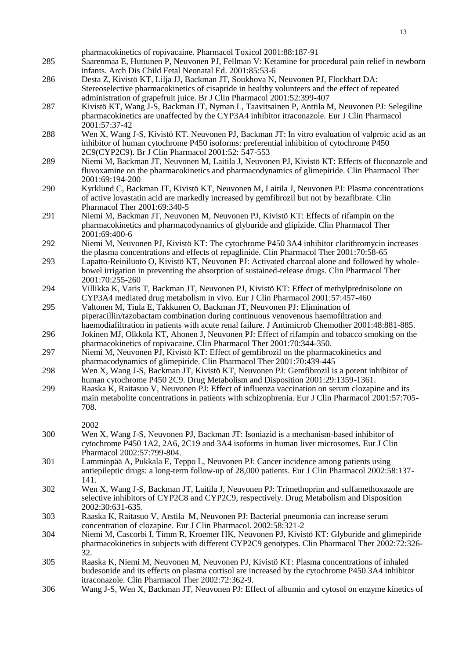| 285 | pharmacokinetics of ropivacaine. Pharmacol Toxicol 2001:88:187-91<br>Saarenmaa E, Huttunen P, Neuvonen PJ, Fellman V: Ketamine for procedural pain relief in newborn                              |
|-----|---------------------------------------------------------------------------------------------------------------------------------------------------------------------------------------------------|
|     | infants. Arch Dis Child Fetal Neonatal Ed. 2001:85:53-6                                                                                                                                           |
| 286 | Desta Z, Kivistö KT, Lilja JJ, Backman JT, Soukhova N, Neuvonen PJ, Flockhart DA:                                                                                                                 |
|     | Stereoselective pharmacokinetics of cisapride in healthy volunteers and the effect of repeated<br>administration of grapefruit juice. Br J Clin Pharmacol 2001:52:399-407                         |
| 287 | Kivistö KT, Wang J-S, Backman JT, Nyman L, Taavitsainen P, Anttila M, Neuvonen PJ: Selegiline                                                                                                     |
|     | pharmacokinetics are unaffected by the CYP3A4 inhibitor itraconazole. Eur J Clin Pharmacol                                                                                                        |
|     | 2001:57:37-42                                                                                                                                                                                     |
| 288 | Wen X, Wang J-S, Kivistö KT. Neuvonen PJ, Backman JT: In vitro evaluation of valproic acid as an                                                                                                  |
|     | inhibitor of human cytochrome P450 isoforms: preferential inhibition of cytochrome P450                                                                                                           |
| 289 | 2C9(CYP2C9). Br J Clin Pharmacol 2001:52: 547-553<br>Niemi M, Backman JT, Neuvonen M, Laitila J, Neuvonen PJ, Kivistö KT: Effects of fluconazole and                                              |
|     | fluvoxamine on the pharmacokinetics and pharmacodynamics of glimepiride. Clin Pharmacol Ther                                                                                                      |
|     | 2001:69:194-200                                                                                                                                                                                   |
| 290 | Kyrklund C, Backman JT, Kivistö KT, Neuvonen M, Laitila J, Neuvonen PJ: Plasma concentrations                                                                                                     |
|     | of active lovastatin acid are markedly increased by gemfibrozil but not by bezafibrate. Clin                                                                                                      |
| 291 | Pharmacol Ther 2001:69:340-5                                                                                                                                                                      |
|     | Niemi M, Backman JT, Neuvonen M, Neuvonen PJ, Kivistö KT: Effects of rifampin on the<br>pharmacokinetics and pharmacodynamics of glyburide and glipizide. Clin Pharmacol Ther                     |
|     | 2001:69:400-6                                                                                                                                                                                     |
| 292 | Niemi M, Neuvonen PJ, Kivistö KT: The cytochrome P450 3A4 inhibitor clarithromycin increases                                                                                                      |
|     | the plasma concentrations and effects of repaglinide. Clin Pharmacol Ther 2001:70:58-65                                                                                                           |
| 293 | Lapatto-Reiniluoto O, Kivistö KT, Neuvonen PJ: Activated charcoal alone and followed by whole-                                                                                                    |
|     | bowel irrigation in preventing the absorption of sustained-release drugs. Clin Pharmacol Ther<br>2001:70:255-260                                                                                  |
| 294 | Villikka K, Varis T, Backman JT, Neuvonen PJ, Kivistö KT: Effect of methylprednisolone on                                                                                                         |
|     | CYP3A4 mediated drug metabolism in vivo. Eur J Clin Pharmacol 2001:57:457-460                                                                                                                     |
| 295 | Valtonen M, Tiula E, Takkunen O, Backman JT, Neuvonen PJ: Elimination of                                                                                                                          |
|     | piperacillin/tazobactam combination during continuous venovenous haemofiltration and                                                                                                              |
| 296 | haemodiafiltration in patients with acute renal failure. J Antimicrob Chemother 2001:48:881-885.<br>Jokinen MJ, Olkkola KT, Ahonen J, Neuvonen PJ: Effect of rifampin and tobacco smoking on the  |
|     | pharmacokinetics of ropivacaine. Clin Pharmacol Ther 2001:70:344-350.                                                                                                                             |
| 297 | Niemi M, Neuvonen PJ, Kivistö KT: Effect of gemfibrozil on the pharmacokinetics and                                                                                                               |
|     | pharmacodynamics of glimepiride. Clin Pharmacol Ther 2001:70:439-445                                                                                                                              |
| 298 | Wen X, Wang J-S, Backman JT, Kivistö KT, Neuvonen PJ: Gemfibrozil is a potent inhibitor of                                                                                                        |
| 299 | human cytochrome P450 2C9. Drug Metabolism and Disposition 2001:29:1359-1361.                                                                                                                     |
|     | Raaska K, Raitasuo V, Neuvonen PJ: Effect of influenza vaccination on serum clozapine and its<br>main metabolite concentrations in patients with schizophrenia. Eur J Clin Pharmacol 2001:57:705- |
|     | 708.                                                                                                                                                                                              |
|     |                                                                                                                                                                                                   |
|     | 2002                                                                                                                                                                                              |
| 300 | Wen X, Wang J-S, Neuvonen PJ, Backman JT: Isoniazid is a mechanism-based inhibitor of                                                                                                             |
|     | cytochrome P450 1A2, 2A6, 2C19 and 3A4 isoforms in human liver microsomes. Eur J Clin<br>Pharmacol 2002:57:799-804.                                                                               |
| 301 | Lamminpää A, Pukkala E, Teppo L, Neuvonen PJ: Cancer incidence among patients using                                                                                                               |
|     | antiepileptic drugs: a long-term follow-up of 28,000 patients. Eur J Clin Pharmacol 2002:58:137-                                                                                                  |
|     | 141.                                                                                                                                                                                              |
| 302 | Wen X, Wang J-S, Backman JT, Laitila J, Neuvonen PJ: Trimethoprim and sulfamethoxazole are                                                                                                        |
|     | selective inhibitors of CYP2C8 and CYP2C9, respectively. Drug Metabolism and Disposition<br>2002:30:631-635.                                                                                      |
| 303 | Raaska K, Raitasuo V, Arstila M, Neuvonen PJ: Bacterial pneumonia can increase serum                                                                                                              |
|     | concentration of clozapine. Eur J Clin Pharmacol. 2002:58:321-2                                                                                                                                   |
| 304 | Niemi M, Cascorbi I, Timm R, Kroemer HK, Neuvonen PJ, Kivistö KT: Glyburide and glimepiride                                                                                                       |
|     | pharmacokinetics in subjects with different CYP2C9 genotypes. Clin Pharmacol Ther 2002:72:326-                                                                                                    |
| 305 | 32.                                                                                                                                                                                               |
|     | Raaska K, Niemi M, Neuvonen M, Neuvonen PJ, Kivistö KT: Plasma concentrations of inhaled<br>budesonide and its effects on plasma cortisol are increased by the cytochrome P450 3A4 inhibitor      |
|     | itraconazole. Clin Pharmacol Ther 2002:72:362-9.                                                                                                                                                  |
| 306 | Wang J-S, Wen X, Backman JT, Neuvonen PJ: Effect of albumin and cytosol on enzyme kinetics of                                                                                                     |
|     |                                                                                                                                                                                                   |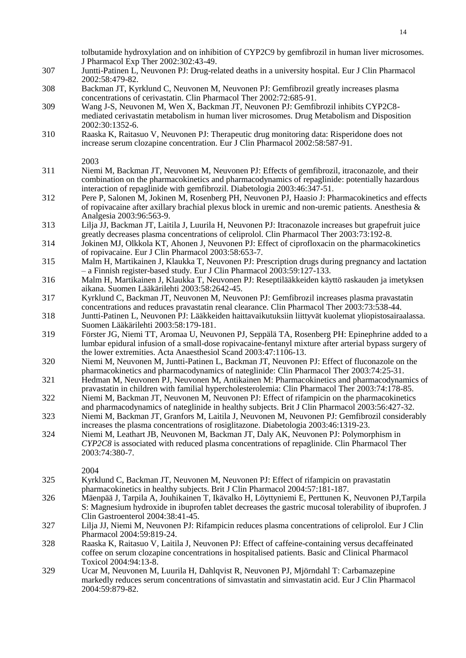tolbutamide hydroxylation and on inhibition of CYP2C9 by gemfibrozil in human liver microsomes. J Pharmacol Exp Ther 2002:302:43-49.

- 307 Juntti-Patinen L, Neuvonen PJ: Drug-related deaths in a university hospital. Eur J Clin Pharmacol 2002:58:479-82.
- 308 Backman JT, Kyrklund C, Neuvonen M, Neuvonen PJ: Gemfibrozil greatly increases plasma concentrations of cerivastatin. Clin Pharmacol Ther 2002:72:685-91.
- 309 Wang J-S, Neuvonen M, Wen X, Backman JT, Neuvonen PJ: Gemfibrozil inhibits CYP2C8 mediated cerivastatin metabolism in human liver microsomes. Drug Metabolism and Disposition 2002:30:1352-6.
- 310 Raaska K, Raitasuo V, Neuvonen PJ: Therapeutic drug monitoring data: Risperidone does not increase serum clozapine concentration. Eur J Clin Pharmacol 2002:58:587-91.

2003

- 311 Niemi M, Backman JT, Neuvonen M, Neuvonen PJ: Effects of gemfibrozil, itraconazole, and their combination on the pharmacokinetics and pharmacodynamics of repaglinide: potentially hazardous interaction of repaglinide with gemfibrozil. Diabetologia 2003:46:347-51.
- 312 Pere P, Salonen M, Jokinen M, Rosenberg PH, Neuvonen PJ, Haasio J: Pharmacokinetics and effects of ropivacaine after axillary brachial plexus block in uremic and non-uremic patients. Anesthesia & Analgesia 2003:96:563-9.
- 313 Lilja JJ, Backman JT, Laitila J, Luurila H, Neuvonen PJ: Itraconazole increases but grapefruit juice greatly decreases plasma concentrations of celiprolol. Clin Pharmacol Ther 2003:73:192-8.
- 314 Jokinen MJ, Olkkola KT, Ahonen J, Neuvonen PJ: Effect of ciprofloxacin on the pharmacokinetics of ropivacaine. Eur J Clin Pharmacol 2003:58:653-7.
- 315 Malm H, Martikainen J, Klaukka T, Neuvonen PJ: Prescription drugs during pregnancy and lactation – a Finnish register-based study. Eur J Clin Pharmacol 2003:59:127-133.
- 316 Malm H, Martikainen J, Klaukka T, Neuvonen PJ: Reseptilääkkeiden käyttö raskauden ja imetyksen aikana. Suomen Lääkärilehti 2003:58:2642-45.
- 317 Kyrklund C, Backman JT, Neuvonen M, Neuvonen PJ: Gemfibrozil increases plasma pravastatin concentrations and reduces pravastatin renal clearance. Clin Pharmacol Ther 2003:73:538-44.
- 318 Juntti-Patinen L, Neuvonen PJ: Lääkkeiden haittavaikutuksiin liittyvät kuolemat yliopistosairaalassa. Suomen Lääkärilehti 2003:58:179-181.
- 319 Förster JG, Niemi TT, Aromaa U, Neuvonen PJ, Seppälä TA, Rosenberg PH: Epinephrine added to a lumbar epidural infusion of a small-dose ropivacaine-fentanyl mixture after arterial bypass surgery of the lower extremities. Acta Anaesthesiol Scand 2003:47:1106-13.
- 320 Niemi M, Neuvonen M, Juntti-Patinen L, Backman JT, Neuvonen PJ: Effect of fluconazole on the pharmacokinetics and pharmacodynamics of nateglinide: Clin Pharmacol Ther 2003:74:25-31.
- 321 Hedman M, Neuvonen PJ, Neuvonen M, Antikainen M: Pharmacokinetics and pharmacodynamics of pravastatin in children with familial hypercholesterolemia: Clin Pharmacol Ther 2003:74:178-85.
- 322 Niemi M, Backman JT, Neuvonen M, Neuvonen PJ: Effect of rifampicin on the pharmacokinetics
- and pharmacodynamics of nateglinide in healthy subjects. Brit J Clin Pharmacol 2003:56:427-32.
- 323 Niemi M, Backman JT, Granfors M, Laitila J, Neuvonen M, Neuvonen PJ: Gemfibrozil considerably increases the plasma concentrations of rosiglitazone. Diabetologia 2003:46:1319-23.
- 324 Niemi M, Leathart JB, Neuvonen M, Backman JT, Daly AK, Neuvonen PJ: Polymorphism in *CYP2C8* is associated with reduced plasma concentrations of repaglinide. Clin Pharmacol Ther 2003:74:380-7.

- 325 Kyrklund C, Backman JT, Neuvonen M, Neuvonen PJ: Effect of rifampicin on pravastatin pharmacokinetics in healthy subjects. Brit J Clin Pharmacol 2004:57:181-187.
- 326 Mäenpää J, Tarpila A, Jouhikainen T, Ikävalko H, Löyttyniemi E, Perttunen K, Neuvonen PJ,Tarpila S: Magnesium hydroxide in ibuprofen tablet decreases the gastric mucosal tolerability of ibuprofen. J Clin Gastroenterol 2004:38:41-45.
- 327 Lilja JJ, Niemi M, Neuvonen PJ: Rifampicin reduces plasma concentrations of celiprolol. Eur J Clin Pharmacol 2004:59:819-24.
- 328 Raaska K, Raitasuo V, Laitila J, Neuvonen PJ: Effect of caffeine-containing versus decaffeinated coffee on serum clozapine concentrations in hospitalised patients. Basic and Clinical Pharmacol Toxicol 2004:94:13-8.
- 329 Ucar M, Neuvonen M, Luurila H, Dahlqvist R, Neuvonen PJ, Mjörndahl T: Carbamazepine markedly reduces serum concentrations of simvastatin and simvastatin acid. Eur J Clin Pharmacol 2004:59:879-82.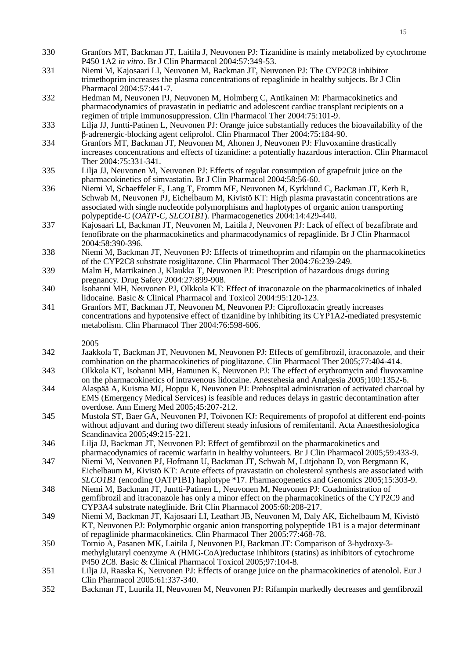- 330 Granfors MT, Backman JT, Laitila J, Neuvonen PJ: Tizanidine is mainly metabolized by cytochrome P450 1A2 *in vitro*. Br J Clin Pharmacol 2004:57:349-53.
- 331 Niemi M, Kajosaari LI, Neuvonen M, Backman JT, Neuvonen PJ: The CYP2C8 inhibitor trimethoprim increases the plasma concentrations of repaglinide in healthy subjects. Br J Clin Pharmacol 2004:57:441-7.
- 332 Hedman M, Neuvonen PJ, Neuvonen M, Holmberg C, Antikainen M: Pharmacokinetics and pharmacodynamics of pravastatin in pediatric and adolescent cardiac transplant recipients on a regimen of triple immunosuppression. Clin Pharmacol Ther 2004:75:101-9.
- 333 Lilja JJ, Juntti-Patinen L, Neuvonen PJ: Orange juice substantially reduces the bioavailability of the β-adrenergic-blocking agent celiprolol. Clin Pharmacol Ther 2004:75:184-90.
- 334 Granfors MT, Backman JT, Neuvonen M, Ahonen J, Neuvonen PJ: Fluvoxamine drastically increases concentrations and effects of tizanidine: a potentially hazardous interaction. Clin Pharmacol Ther 2004:75:331-341.
- 335 Lilja JJ, Neuvonen M, Neuvonen PJ: Effects of regular consumption of grapefruit juice on the pharmacokinetics of simvastatin. Br J Clin Pharmacol 2004:58:56-60.
- 336 Niemi M, Schaeffeler E, Lang T, Fromm MF, Neuvonen M, Kyrklund C, Backman JT, Kerb R, Schwab M, Neuvonen PJ, Eichelbaum M, Kivistö KT: High plasma pravastatin concentrations are associated with single nucleotide polymorphisms and haplotypes of organic anion transporting polypeptide-C (*OATP-C, SLCO1B1*). Pharmacogenetics 2004:14:429-440.
- 337 Kajosaari LI, Backman JT, Neuvonen M, Laitila J, Neuvonen PJ: Lack of effect of bezafibrate and fenofibrate on the pharmacokinetics and pharmacodynamics of repaglinide. Br J Clin Pharmacol 2004:58:390-396.
- 338 Niemi M, Backman JT, Neuvonen PJ: Effects of trimethoprim and rifampin on the pharmacokinetics of the CYP2C8 substrate rosiglitazone. Clin Pharmacol Ther 2004:76:239-249.
- 339 Malm H, Martikainen J, Klaukka T, Neuvonen PJ: Prescription of hazardous drugs during pregnancy. Drug Safety 2004:27:899-908.
- 340 Isohanni MH, Neuvonen PJ, Olkkola KT: Effect of itraconazole on the pharmacokinetics of inhaled lidocaine. Basic & Clinical Pharmacol and Toxicol 2004:95:120-123.
- 341 Granfors MT, Backman JT, Neuvonen M, Neuvonen PJ: Ciprofloxacin greatly increases concentrations and hypotensive effect of tizanidine by inhibiting its CYP1A2-mediated presystemic metabolism. Clin Pharmacol Ther 2004:76:598-606.
	- 2005
- 342 Jaakkola T, Backman JT, Neuvonen M, Neuvonen PJ: Effects of gemfibrozil, itraconazole, and their combination on the pharmacokinetics of pioglitazone. Clin Pharmacol Ther 2005;77:404-414.
- 343 Olkkola KT, Isohanni MH, Hamunen K, Neuvonen PJ: The effect of erythromycin and fluvoxamine on the pharmacokinetics of intravenous lidocaine. Anestehesia and Analgesia 2005;100:1352-6.
- 344 Alaspää A, Kuisma MJ, Hoppu K, Neuvonen PJ: Prehospital administration of activated charcoal by EMS (Emergency Medical Services) is feasible and reduces delays in gastric decontamination after overdose. Ann Emerg Med 2005;45:207-212.
- 345 Mustola ST, Baer GA, Neuvonen PJ, Toivonen KJ: Requirements of propofol at different end-points without adjuvant and during two different steady infusions of remifentanil. Acta Anaesthesiologica Scandinavica 2005;49:215-221.
- 346 Lilja JJ, Backman JT, Neuvonen PJ: Effect of gemfibrozil on the pharmacokinetics and pharmacodynamics of racemic warfarin in healthy volunteers. Br J Clin Pharmacol 2005;59:433-9.
- 347 Niemi M, Neuvonen PJ, Hofmann U, Backman JT, Schwab M, Lütjohann D, von Bergmann K, Eichelbaum M, Kivistö KT: Acute effects of pravastatin on cholesterol synthesis are associated with *SLCO1B1* (encoding OATP1B1) haplotype  $*17$ . Pharmacogenetics and Genomics 2005;15:303-9.
- 348 Niemi M, Backman JT, Juntti-Patinen L, Neuvonen M, Neuvonen PJ: Coadministration of gemfibrozil and itraconazole has only a minor effect on the pharmacokinetics of the CYP2C9 and CYP3A4 substrate nateglinide. Brit Clin Pharmacol 2005:60:208-217.
- 349 Niemi M, Backman JT, Kajosaari LI, Leathart JB, Neuvonen M, Daly AK, Eichelbaum M, Kivistö KT, Neuvonen PJ: Polymorphic organic anion transporting polypeptide 1B1 is a major determinant of repaglinide pharmacokinetics. Clin Pharmacol Ther 2005:77:468-78.
- 350 Tornio A, Pasanen MK, Laitila J, Neuvonen PJ, Backman JT: Comparison of 3-hydroxy-3 methylglutaryl coenzyme A (HMG-CoA)reductase inhibitors (statins) as inhibitors of cytochrome P450 2C8. Basic & Clinical Pharmacol Toxicol 2005;97:104-8.
- 351 Lilja JJ, Raaska K, Neuvonen PJ: Effects of orange juice on the pharmacokinetics of atenolol. Eur J Clin Pharmacol 2005:61:337-340.
- 352 Backman JT, Luurila H, Neuvonen M, Neuvonen PJ: Rifampin markedly decreases and gemfibrozil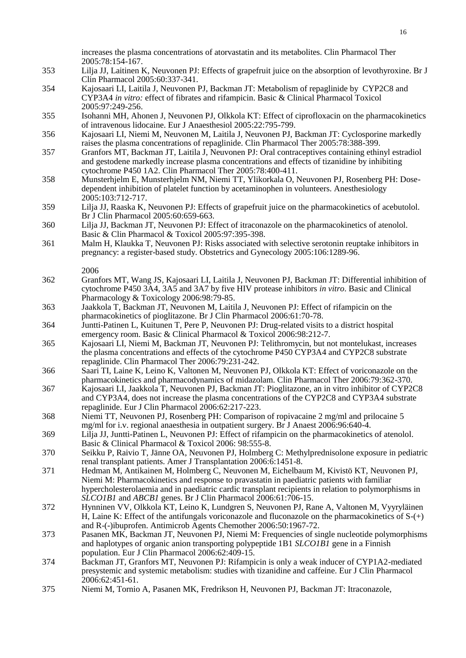increases the plasma concentrations of atorvastatin and its metabolites. Clin Pharmacol Ther 2005:78:154-167.

- 353 Lilja JJ, Laitinen K, Neuvonen PJ: Effects of grapefruit juice on the absorption of levothyroxine. Br J Clin Pharmacol 2005:60:337-341.
- 354 Kajosaari LI, Laitila J, Neuvonen PJ, Backman JT: Metabolism of repaglinide by CYP2C8 and CYP3A4 *in vitro:* effect of fibrates and rifampicin. Basic & Clinical Pharmacol Toxicol 2005:97:249-256.
- 355 Isohanni MH, Ahonen J, Neuvonen PJ, Olkkola KT: Effect of ciprofloxacin on the pharmacokinetics of intravenous lidocaine. Eur J Anaesthesiol 2005:22:795-799.
- 356 Kajosaari LI, Niemi M, Neuvonen M, Laitila J, Neuvonen PJ, Backman JT: Cyclosporine markedly raises the plasma concentrations of repaglinide. Clin Pharmacol Ther 2005:78:388-399.
- 357 Granfors MT, Backman JT, Laitila J, Neuvonen PJ: Oral contraceptives containing ethinyl estradiol and gestodene markedly increase plasma concentrations and effects of tizanidine by inhibiting cytochrome P450 1A2. Clin Pharmacol Ther 2005:78:400-411.
- 358 Munsterhjelm E, Munsterhjelm NM, Niemi TT, Ylikorkala O, Neuvonen PJ, Rosenberg PH: Dosedependent inhibition of platelet function by acetaminophen in volunteers. Anesthesiology 2005:103:712-717.
- 359 Lilja JJ, Raaska K, Neuvonen PJ: Effects of grapefruit juice on the pharmacokinetics of acebutolol. Br J Clin Pharmacol 2005:60:659-663.
- 360 Lilja JJ, Backman JT, Neuvonen PJ: Effect of itraconazole on the pharmacokinetics of atenolol. Basic & Clin Pharmacol & Toxicol 2005:97:395-398.
- 361 Malm H, Klaukka T, Neuvonen PJ: Risks associated with selective serotonin reuptake inhibitors in pregnancy: a register-based study. Obstetrics and Gynecology 2005:106:1289-96.
	- 2006
- 362 Granfors MT, Wang JS, Kajosaari LI, Laitila J, Neuvonen PJ, Backman JT: Differential inhibition of cytochrome P450 3A4, 3A5 and 3A7 by five HIV protease inhibitors *in vitro*. Basic and Clinical Pharmacology & Toxicology 2006:98:79-85.
- 363 Jaakkola T, Backman JT, Neuvonen M, Laitila J, Neuvonen PJ: Effect of rifampicin on the pharmacokinetics of pioglitazone. Br J Clin Pharmacol 2006:61:70-78.
- 364 Juntti-Patinen L, Kuitunen T, Pere P, Neuvonen PJ: Drug-related visits to a district hospital emergency room. Basic & Clinical Pharmacol & Toxicol 2006:98:212-7.
- 365 Kajosaari LI, Niemi M, Backman JT, Neuvonen PJ: Telithromycin, but not montelukast, increases the plasma concentrations and effects of the cytochrome P450 CYP3A4 and CYP2C8 substrate repaglinide. Clin Pharmacol Ther 2006:79:231-242.
- 366 Saari TI, Laine K, Leino K, Valtonen M, Neuvonen PJ, Olkkola KT: Effect of voriconazole on the pharmacokinetics and pharmacodynamics of midazolam. Clin Pharmacol Ther 2006:79:362-370.
- 367 Kajosaari LI, Jaakkola T, Neuvonen PJ, Backman JT: Pioglitazone, an in vitro inhibitor of CYP2C8 and CYP3A4, does not increase the plasma concentrations of the CYP2C8 and CYP3A4 substrate repaglinide. Eur J Clin Pharmacol 2006:62:217-223.
- 368 Niemi TT, Neuvonen PJ, Rosenberg PH: Comparison of ropivacaine 2 mg/ml and prilocaine 5 mg/ml for i.v. regional anaesthesia in outpatient surgery. Br J Anaest 2006:96:640-4.
- 369 Lilja JJ, Juntti-Patinen L, Neuvonen PJ: Effect of rifampicin on the pharmacokinetics of atenolol. Basic & Clinical Pharmacol & Toxicol 2006: 98:555-8.
- 370 Seikku P, Raivio T, Jänne OA, Neuvonen PJ, Holmberg C: Methylprednisolone exposure in pediatric renal transplant patients. Amer J Transplantation 2006:6:1451-8.
- 371 Hedman M, Antikainen M, Holmberg C, Neuvonen M, Eichelbaum M, Kivistö KT, Neuvonen PJ, Niemi M: Pharmacokinetics and response to pravastatin in paediatric patients with familiar hypercholesterolaemia and in paediatric cardic transplant recipients in relation to polymorphisms in *SLCO1B1* and *ABCB1* genes. Br J Clin Pharmacol 2006:61:706-15.
- 372 Hynninen VV, Olkkola KT, Leino K, Lundgren S, Neuvonen PJ, Rane A, Valtonen M, Vyyryläinen H, Laine K: Effect of the antifungals voriconazole and fluconazole on the pharmacokinetics of  $S-(+)$ and R-(-)ibuprofen. Antimicrob Agents Chemother 2006:50:1967-72.
- 373 Pasanen MK, Backman JT, Neuvonen PJ, Niemi M: Frequencies of single nucleotide polymorphisms and haplotypes of organic anion transporting polypeptide 1B1 *SLCO1B1* gene in a Finnish population. Eur J Clin Pharmacol 2006:62:409-15.
- 374 Backman JT, Granfors MT, Neuvonen PJ: Rifampicin is only a weak inducer of CYP1A2-mediated presystemic and systemic metabolism: studies with tizanidine and caffeine. Eur J Clin Pharmacol 2006:62:451-61.
- 375 Niemi M, Tornio A, Pasanen MK, Fredrikson H, Neuvonen PJ, Backman JT: Itraconazole,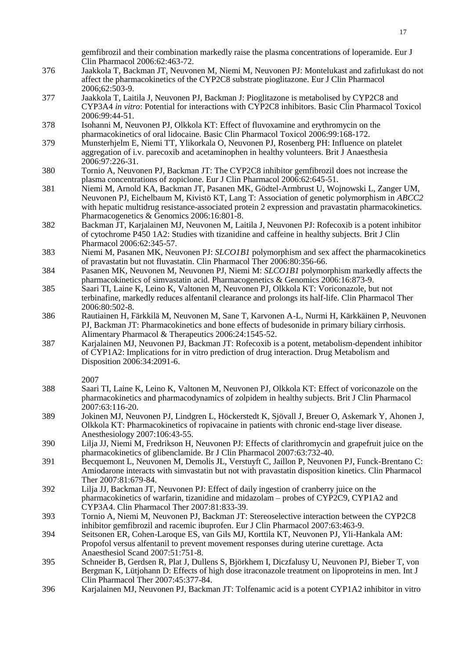gemfibrozil and their combination markedly raise the plasma concentrations of loperamide. Eur J Clin Pharmacol 2006:62:463-72.

- 376 Jaakkola T, Backman JT, Neuvonen M, Niemi M, Neuvonen PJ: Montelukast and zafirlukast do not affect the pharmacokinetics of the CYP2C8 substrate pioglitazone. Eur J Clin Pharmacol 2006;62:503-9.
- 377 Jaakkola T, Laitila J, Neuvonen PJ, Backman J: Pioglitazone is metabolised by CYP2C8 and CYP3A4 *in vitro*: Potential for interactions with CYP2C8 inhibitors. Basic Clin Pharmacol Toxicol 2006:99:44-51.
- 378 Isohanni M, Neuvonen PJ, Olkkola KT: Effect of fluvoxamine and erythromycin on the pharmacokinetics of oral lidocaine. Basic Clin Pharmacol Toxicol 2006:99:168-172.
- 379 Munsterhjelm E, Niemi TT, Ylikorkala O, Neuvonen PJ, Rosenberg PH: Influence on platelet aggregation of i.v. parecoxib and acetaminophen in healthy volunteers. Brit J Anaesthesia 2006:97:226-31.
- 380 Tornio A, Neuvonen PJ, Backman JT: The CYP2C8 inhibitor gemfibrozil does not increase the plasma concentrations of zopiclone. Eur J Clin Pharmacol 2006:62:645-51.
- 381 Niemi M, Arnold KA, Backman JT, Pasanen MK, Gödtel-Armbrust U, Wojnowski L, Zanger UM, Neuvonen PJ, Eichelbaum M, Kivistö KT, Lang T: Association of genetic polymorphism in *ABCC2* with hepatic multidrug resistance-associated protein 2 expression and pravastatin pharmacokinetics. Pharmacogenetics & Genomics 2006:16:801-8.
- 382 Backman JT, Karjalainen MJ, Neuvonen M, Laitila J, Neuvonen PJ: Rofecoxib is a potent inhibitor of cytochrome P450 1A2: Studies with tizanidine and caffeine in healthy subjects. Brit J Clin Pharmacol 2006:62:345-57.
- 383 Niemi M, Pasanen MK, Neuvonen PJ: *SLCO1B1* polymorphism and sex affect the pharmacokinetics of pravastatin but not fluvastatin. Clin Pharmacol Ther 2006:80:356-66.
- 384 Pasanen MK, Neuvonen M, Neuvonen PJ, Niemi M: *SLCO1B1* polymorphism markedly affects the pharmacokinetics of simvastatin acid. Pharmacogenetics & Genomics 2006:16:873-9.
- 385 Saari TI, Laine K, Leino K, Valtonen M, Neuvonen PJ, Olkkola KT: Voriconazole, but not terbinafine, markedly reduces alfentanil clearance and prolongs its half-life. Clin Pharmacol Ther 2006:80:502-8.
- 386 Rautiainen H, Färkkilä M, Neuvonen M, Sane T, Karvonen A-L, Nurmi H, Kärkkäinen P, Neuvonen PJ, Backman JT: Pharmacokinetics and bone effects of budesonide in primary biliary cirrhosis. Alimentary Pharmacol & Therapeutics 2006:24:1545-52.
- 387 Karjalainen MJ, Neuvonen PJ, Backman JT: Rofecoxib is a potent, metabolism-dependent inhibitor of CYP1A2: Implications for in vitro prediction of drug interaction. Drug Metabolism and Disposition 2006:34:2091-6.
	- 2007
- 388 Saari TI, Laine K, Leino K, Valtonen M, Neuvonen PJ, Olkkola KT: Effect of voriconazole on the pharmacokinetics and pharmacodynamics of zolpidem in healthy subjects. Brit J Clin Pharmacol 2007:63:116-20.
- 389 Jokinen MJ, Neuvonen PJ, Lindgren L, Höckerstedt K, Sjövall J, Breuer O, Askemark Y, Ahonen J, Olkkola KT: Pharmacokinetics of ropivacaine in patients with chronic end-stage liver disease. Anesthesiology 2007:106:43-55.
- 390 Lilja JJ, Niemi M, Fredrikson H, Neuvonen PJ: Effects of clarithromycin and grapefruit juice on the pharmacokinetics of glibenclamide. Br J Clin Pharmacol 2007:63:732-40.
- 391 Becquemont L, Neuvonen M, Demolis JL, Verstuyft C, Jaillon P, Neuvonen PJ, Funck-Brentano C: Amiodarone interacts with simvastatin but not with pravastatin disposition kinetics. Clin Pharmacol Ther 2007:81:679-84.
- 392 Lilja JJ, Backman JT, Neuvonen PJ: Effect of daily ingestion of cranberry juice on the pharmacokinetics of warfarin, tizanidine and midazolam – probes of CYP2C9, CYP1A2 and CYP3A4. Clin Pharmacol Ther 2007:81:833-39.
- 393 Tornio A, Niemi M, Neuvonen PJ, Backman JT: Stereoselective interaction between the CYP2C8 inhibitor gemfibrozil and racemic ibuprofen. Eur J Clin Pharmacol 2007:63:463-9.
- 394 Seitsonen ER, Cohen-Laroque ES, van Gils MJ, Korttila KT, Neuvonen PJ, Yli-Hankala AM: Propofol versus alfentanil to prevent movement responses during uterine curettage. Acta Anaesthesiol Scand 2007:51:751-8.
- 395 Schneider B, Gerdsen R, Plat J, Dullens S, Björkhem I, Diczfalusy U, Neuvonen PJ, Bieber T, von Bergman K, Lütjohann D: Effects of high dose itraconazole treatment on lipoproteins in men. Int J Clin Pharmacol Ther 2007:45:377-84.
- 396 Karjalainen MJ, Neuvonen PJ, Backman JT: Tolfenamic acid is a potent CYP1A2 inhibitor in vitro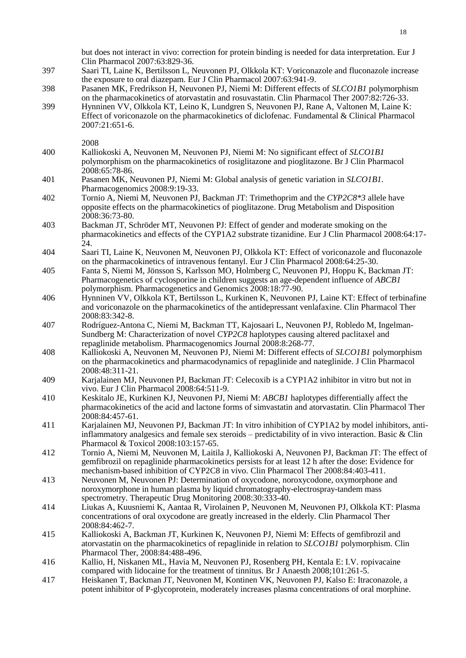but does not interact in vivo: correction for protein binding is needed for data interpretation. Eur J Clin Pharmacol 2007:63:829-36.

- 397 Saari TI, Laine K, Bertilsson L, Neuvonen PJ, Olkkola KT: Voriconazole and fluconazole increase the exposure to oral diazepam. Eur J Clin Pharmacol 2007:63:941-9.
- 398 Pasanen MK, Fredrikson H, Neuvonen PJ, Niemi M: Different effects of *SLCO1B1* polymorphism on the pharmacokinetics of atorvastatin and rosuvastatin. Clin Pharmacol Ther 2007:82:726-33.
- 399 Hynninen VV, Olkkola KT, Leino K, Lundgren S, Neuvonen PJ, Rane A, Valtonen M, Laine K: Effect of voriconazole on the pharmacokinetics of diclofenac. Fundamental & Clinical Pharmacol 2007:21:651-6.

- 400 Kalliokoski A, Neuvonen M, Neuvonen PJ, Niemi M: No significant effect of *SLCO1B1* polymorphism on the pharmacokinetics of rosiglitazone and pioglitazone. Br J Clin Pharmacol 2008:65:78-86.
- 401 Pasanen MK, Neuvonen PJ, Niemi M: Global analysis of genetic variation in *SLCO1B1.* Pharmacogenomics 2008:9:19-33.
- 402 Tornio A, Niemi M, Neuvonen PJ, Backman JT: Trimethoprim and the *CYP2C8\*3* allele have opposite effects on the pharmacokinetics of pioglitazone. Drug Metabolism and Disposition 2008:36:73-80.
- 403 Backman JT, Schröder MT, Neuvonen PJ: Effect of gender and moderate smoking on the pharmacokinetics and effects of the CYP1A2 substrate tizanidine. Eur J Clin Pharmacol 2008:64:17- 24.
- 404 Saari TI, Laine K, Neuvonen M, Neuvonen PJ, Olkkola KT: Effect of voriconazole and fluconazole on the pharmacokinetics of intravenous fentanyl. Eur J Clin Pharmacol 2008:64:25-30.
- 405 Fanta S, Niemi M, Jönsson S, Karlsson MO, Holmberg C, Neuvonen PJ, Hoppu K, Backman JT: Pharmacogenetics of cyclosporine in children suggests an age-dependent influence of *ABCB1* polymorphism. Pharmacogenetics and Genomics 2008:18:77-90.
- 406 Hynninen VV, Olkkola KT, Bertilsson L, Kurkinen K, Neuvonen PJ, Laine KT: Effect of terbinafine and voriconazole on the pharmacokinetics of the antidepressant venlafaxine. Clin Pharmacol Ther 2008:83:342-8.
- 407 Rodríguez-Antona C, Niemi M, Backman TT, Kajosaari L, Neuvonen PJ, Robledo M, Ingelman-Sundberg M: Characterization of novel *CYP2C8* haplotypes causing altered paclitaxel and repaglinide metabolism. Pharmacogenomics Journal 2008:8:268-77.
- 408 Kalliokoski A, Neuvonen M, Neuvonen PJ, Niemi M: Different effects of *SLCO1B1* polymorphism on the pharmacokinetics and pharmacodynamics of repaglinide and nateglinide. J Clin Pharmacol 2008:48:311-21.
- 409 Karjalainen MJ, Neuvonen PJ, Backman JT: Celecoxib is a CYP1A2 inhibitor in vitro but not in vivo. Eur J Clin Pharmacol 2008:64:511-9.
- 410 Keskitalo JE, Kurkinen KJ, Neuvonen PJ, Niemi M: *ABCB1* haplotypes differentially affect the pharmacokinetics of the acid and lactone forms of simvastatin and atorvastatin. Clin Pharmacol Ther 2008:84:457-61.
- 411 Karjalainen MJ, Neuvonen PJ, Backman JT: In vitro inhibition of CYP1A2 by model inhibitors, antiinflammatory analgesics and female sex steroids – predictability of in vivo interaction. Basic & Clin Pharmacol & Toxicol 2008:103:157-65.
- 412 Tornio A, Niemi M, Neuvonen M, Laitila J, Kalliokoski A, Neuvonen PJ, Backman JT: The effect of gemfibrozil on repaglinide pharmacokinetics persists for at least 12 h after the dose: Evidence for mechanism-based inhibition of CYP2C8 in vivo. Clin Pharmacol Ther 2008:84:403-411.
- 413 Neuvonen M, Neuvonen PJ: Determination of oxycodone, noroxycodone, oxymorphone and noroxymorphone in human plasma by liquid chromatography-electrospray-tandem mass spectrometry. Therapeutic Drug Monitoring 2008:30:333-40.
- 414 Liukas A, Kuusniemi K, Aantaa R, Virolainen P, Neuvonen M, Neuvonen PJ, Olkkola KT: Plasma concentrations of oral oxycodone are greatly increased in the elderly. Clin Pharmacol Ther 2008:84:462-7.
- 415 Kalliokoski A, Backman JT, Kurkinen K, Neuvonen PJ, Niemi M: Effects of gemfibrozil and atorvastatin on the pharmacokinetics of repaglinide in relation to *SLCO1B1* polymorphism. Clin Pharmacol Ther, 2008:84:488-496.
- 416 Kallio, H, Niskanen ML, Havia M, Neuvonen PJ, Rosenberg PH, Kentala E: I.V. ropivacaine compared with lidocaine for the treatment of tinnitus. Br J Anaesth 2008;101:261-5.
- 417 Heiskanen T, Backman JT, Neuvonen M, Kontinen VK, Neuvonen PJ, Kalso E: Itraconazole, a potent inhibitor of P-glycoprotein, moderately increases plasma concentrations of oral morphine.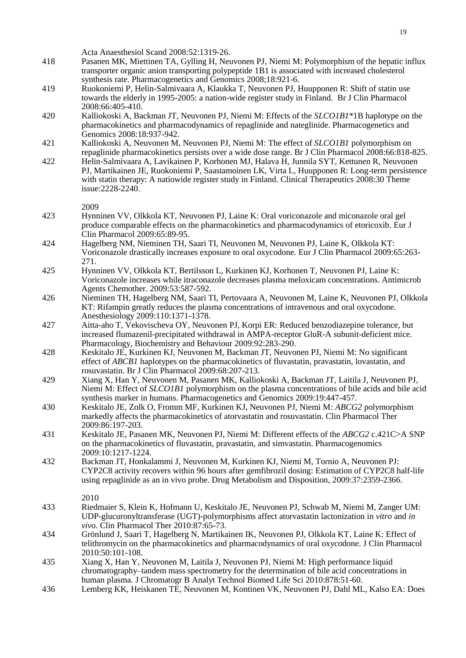|            | Acta Anaesthesiol Scand 2008:52:1319-26.                                                                                                                                                                                                                                                   |
|------------|--------------------------------------------------------------------------------------------------------------------------------------------------------------------------------------------------------------------------------------------------------------------------------------------|
| 418        | Pasanen MK, Miettinen TA, Gylling H, Neuvonen PJ, Niemi M: Polymorphism of the hepatic influx<br>transporter organic anion transporting polypeptide 1B1 is associated with increased cholesterol<br>synthesis rate. Pharmacogenetics and Genomics 2008;18:921-6.                           |
| 419        | Ruokoniemi P, Helin-Salmivaara A, Klaukka T, Neuvonen PJ, Huupponen R: Shift of statin use<br>towards the elderly in 1995-2005: a nation-wide register study in Finland. Br J Clin Pharmacol<br>2008:66:405-410.                                                                           |
| 420        | Kalliokoski A, Backman JT, Neuvonen PJ, Niemi M: Effects of the SLCO1B1*1B haplotype on the<br>pharmacokinetics and pharmacodynamics of repaglinide and nateglinide. Pharmacogenetics and<br>Genomics 2008:18:937-942.                                                                     |
| 421<br>422 | Kalliokoski A, Neuvonen M, Neuvonen PJ, Niemi M: The effect of SLCO1B1 polymorphism on<br>repaglinide pharmacokinetics persists over a wide dose range. Br J Clin Pharmacol 2008:66:818-825.<br>Helin-Salmivaara A, Lavikainen P, Korhonen MJ, Halava H, Junnila SYT, Kettunen R, Neuvonen |
|            | PJ, Martikainen JE, Ruokoniemi P, Saastamoinen LK, Virta L, Huupponen R: Long-term persistence<br>with statin therapy: A natiowide register study in Finland. Clinical Therapeutics 2008:30 Theme<br>issue:2228-2240.<br>2009                                                              |
| 423        | Hynninen VV, Olkkola KT, Neuvonen PJ, Laine K: Oral voriconazole and miconazole oral gel<br>produce comparable effects on the pharmacokinetics and pharmacodynamics of etoricoxib. Eur J<br>Clin Pharmacol 2009:65:89-95.                                                                  |
| 424        | Hagelberg NM, Nieminen TH, Saari TI, Neuvonen M, Neuvonen PJ, Laine K, Olkkola KT:<br>Voriconazole drastically increases exposure to oral oxycodone. Eur J Clin Pharmacol 2009:65:263-<br>271.                                                                                             |
| 425        | Hynninen VV, Olkkola KT, Bertilsson L, Kurkinen KJ, Korhonen T, Neuvonen PJ, Laine K:<br>Voriconazole increases while itraconazole decreases plasma meloxicam concentrations. Antimicrob<br>Agents Chemother. 2009:53:587-592.                                                             |
| 426        | Nieminen TH, Hagelberg NM, Saari TI, Pertovaara A, Neuvonen M, Laine K, Neuvonen PJ, Olkkola<br>KT: Rifampin greatly reduces the plasma concentrations of intravenous and oral oxycodone.<br>Anesthesiology 2009:110:1371-1378.                                                            |
| 427        | Aitta-aho T, Vekovischeva OY, Neuvonen PJ, Korpi ER: Reduced benzodiazepine tolerance, but<br>increased flumazenil-precipitated withdrawal in AMPA-receptor GluR-A subunit-deficient mice.<br>Pharmacology, Biochemistry and Behaviour 2009:92:283-290.                                    |
| 428        | Keskitalo JE, Kurkinen KJ, Neuvonen M, Backman JT, Neuvonen PJ, Niemi M: No significant<br>effect of <i>ABCB1</i> haplotypes on the pharmacokinetics of fluvastatin, pravastatin, lovastatin, and<br>rosuvastatin. Br J Clin Pharmacol 2009:68:207-213.                                    |
| 429        | Xiang X, Han Y, Neuvonen M, Pasanen MK, Kalliokoski A, Backman JT, Laitila J, Neuvonen PJ,<br>Niemi M: Effect of <i>SLCO1B1</i> polymorphism on the plasma concentrations of bile acids and bile acid<br>synthesis marker in humans. Pharmacogenetics and Genomics 2009:19:447-457.        |
| 430        | Keskitalo JE, Zolk O, Fromm MF, Kurkinen KJ, Neuvonen PJ, Niemi M: ABCG2 polymorphism<br>markedly affects the pharmacokinetics of atorvastatin and rosuvastatin. Clin Pharmacol Ther<br>2009:86:197-203.                                                                                   |
| 431        | Keskitalo JE, Pasanen MK, Neuvonen PJ, Niemi M: Different effects of the ABCG2 c.421C>A SNP<br>on the pharmacokinetics of fluvastatin, pravastatin, and simvastatin. Pharmacogenomics<br>2009:10:1217-1224.                                                                                |
| 432        | Backman JT, Honkalammi J, Neuvonen M, Kurkinen KJ, Niemi M, Tornio A, Neuvonen PJ:<br>CYP2C8 activity recovers within 96 hours after gemfibrozil dosing: Estimation of CYP2C8 half-life<br>using repaglinide as an in vivo probe. Drug Metabolism and Disposition, 2009:37:2359-2366.      |
| 433        | 2010<br>Riedmaier S, Klein K, Hofmann U, Keskitalo JE, Neuvonen PJ, Schwab M, Niemi M, Zanger UM:<br>UDP-glucuronyltransferase (UGT)-polymorphisms affect atorvastatin lactonization in vitro and in                                                                                       |
| 434        | vivo. Clin Pharmacol Ther 2010:87:65-73.<br>Grönlund J, Saari T, Hagelberg N, Martikainen IK, Neuvonen PJ, Olkkola KT, Laine K: Effect of<br>telithromycin on the pharmacokinetics and pharmacodynamics of oral oxycodone. J Clin Pharmacol<br>2010:50:101-108.                            |
| 435        | Xiang X, Han Y, Neuvonen M, Laitila J, Neuvonen PJ, Niemi M: High performance liquid<br>chromatography-tandem mass spectrometry for the determination of bile acid concentrations in<br>human plasma. J Chromatogr B Analyt Technol Biomed Life Sci 2010:878:51-60.                        |
| 436        | Lemberg KK, Heiskanen TE, Neuvonen M, Kontinen VK, Neuvonen PJ, Dahl ML, Kalso EA: Does                                                                                                                                                                                                    |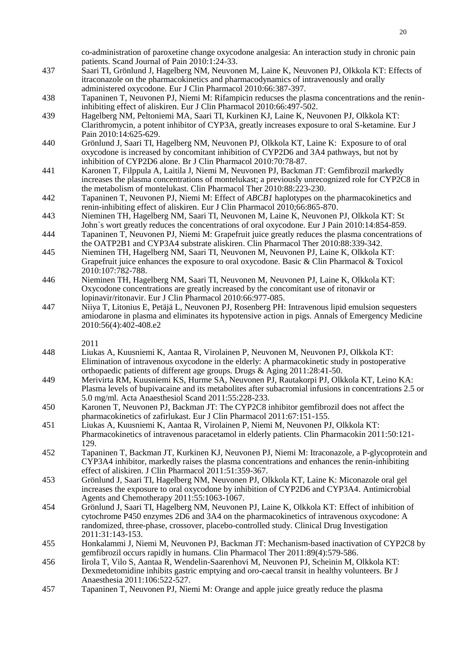co-administration of paroxetine change oxycodone analgesia: An interaction study in chronic pain patients. Scand Journal of Pain 2010:1:24-33.

- 437 Saari TI, Grönlund J, Hagelberg NM, Neuvonen M, Laine K, Neuvonen PJ, Olkkola KT: Effects of itraconazole on the pharmacokinetics and pharmacodynamics of intravenously and orally administered oxycodone. Eur J Clin Pharmacol 2010:66:387-397.
- 438 Tapaninen T, Neuvonen PJ, Niemi M: Rifampicin reducses the plasma concentrations and the renininhibiting effect of aliskiren. Eur J Clin Pharmacol 2010:66:497-502.
- 439 Hagelberg NM, Peltoniemi MA, Saari TI, Kurkinen KJ, Laine K, Neuvonen PJ, Olkkola KT: Clarithromycin, a potent inhibitor of CYP3A, greatly increases exposure to oral S-ketamine. Eur J Pain 2010:14:625-629.
- 440 Grönlund J, Saari TI, Hagelberg NM, Neuvonen PJ, Olkkola KT, Laine K: Exposure to of oral oxycodone is increased by concomitant inhibition of CYP2D6 and 3A4 pathways, but not by inhibition of CYP2D6 alone. Br J Clin Pharmacol 2010:70:78-87.
- 441 Karonen T, Filppula A, Laitila J, Niemi M, Neuvonen PJ, Backman JT: Gemfibrozil markedly increases the plasma concentrations of montelukast; a previously unrecognized role for CYP2C8 in the metabolism of montelukast. Clin Pharmacol Ther 2010:88:223-230.
- 442 Tapaninen T, Neuvonen PJ, Niemi M: Effect of *ABCB1* haplotypes on the pharmacokinetics and renin-inhibiting effect of aliskiren. Eur J Clin Pharmacol 2010;66:865-870.
- 443 Nieminen TH, Hagelberg NM, Saari TI, Neuvonen M, Laine K, Neuvonen PJ, Olkkola KT: St John`s wort greatly reduces the concentrations of oral oxycodone. Eur J Pain 2010:14:854-859.
- 444 Tapaninen T, Neuvonen PJ, Niemi M: Grapefruit juice greatly reduces the plasma concentrations of the OATP2B1 and CYP3A4 substrate aliskiren. Clin Pharmacol Ther 2010:88:339-342.
- 445 Nieminen TH, Hagelberg NM, Saari TI, Neuvonen M, Neuvonen PJ, Laine K, Olkkola KT: Grapefruit juice enhances the exposure to oral oxycodone. Basic & Clin Pharmacol & Toxicol 2010:107:782-788.
- 446 Nieminen TH, Hagelberg NM, Saari TI, Neuvonen M, Neuvonen PJ, Laine K, Olkkola KT: Oxycodone concentrations are greatly increased by the concomitant use of ritonavir or lopinavir/ritonavir. Eur J Clin Pharmacol 2010:66:977-085.
- 447 Niiya T, Litonius E, Petäjä L, Neuvonen PJ, Rosenberg PH: Intravenous lipid emulsion sequesters amiodarone in plasma and eliminates its hypotensive action in pigs. Annals of Emergency Medicine 2010:56(4):402-408.e2
	- 2011
- 448 Liukas A, Kuusniemi K, Aantaa R, Virolainen P, Neuvonen M, Neuvonen PJ, Olkkola KT: Elimination of intravenous oxycodone in the elderly: A pharmacokinetic study in postoperative orthopaedic patients of different age groups. Drugs & Aging 2011:28:41-50.
- 449 Merivirta RM, Kuusniemi KS, Hurme SA, Neuvonen PJ, Rautakorpi PJ, Olkkola KT, Leino KA: Plasma levels of bupivacaine and its metabolites after subacromial infusions in concentrations 2.5 or 5.0 mg/ml. Acta Anaesthesiol Scand 2011:55:228-233.
- 450 Karonen T, Neuvonen PJ, Backman JT: The CYP2C8 inhibitor gemfibrozil does not affect the pharmacokinetics of zafirlukast. Eur J Clin Pharmacol 2011:67:151-155.
- 451 Liukas A, Kuusniemi K, Aantaa R, Virolainen P, Niemi M, Neuvonen PJ, Olkkola KT: Pharmacokinetics of intravenous paracetamol in elderly patients. Clin Pharmacokin 2011:50:121- 129.
- 452 Tapaninen T, Backman JT, Kurkinen KJ, Neuvonen PJ, Niemi M: Itraconazole, a P-glycoprotein and CYP3A4 inhibitor, markedly raises the plasma concentrations and enhances the renin-inhibiting effect of aliskiren. J Clin Pharmacol 2011:51:359-367.
- 453 Grönlund J, Saari TI, Hagelberg NM, Neuvonen PJ, Olkkola KT, Laine K: Miconazole oral gel increases the exposure to oral oxycodone by inhibition of CYP2D6 and CYP3A4. Antimicrobial Agents and Chemotherapy 2011:55:1063-1067.
- 454 Grönlund J, Saari TI, Hagelberg NM, Neuvonen PJ, Laine K, Olkkola KT: Effect of inhibition of cytochrome P450 enzymes 2D6 and 3A4 on the pharmacokinetics of intravenous oxycodone: A randomized, three-phase, crossover, placebo-controlled study. Clinical Drug Investigation 2011:31:143-153.
- 455 Honkalammi J, Niemi M, Neuvonen PJ, Backman JT: Mechanism-based inactivation of CYP2C8 by gemfibrozil occurs rapidly in humans. Clin Pharmacol Ther 2011:89(4):579-586.
- 456 Iirola T, Vilo S, Aantaa R, Wendelin-Saarenhovi M, Neuvonen PJ, Scheinin M, Olkkola KT: Dexmedetomidine inhibits gastric emptying and oro-caecal transit in healthy volunteers. Br J Anaesthesia 2011:106:522-527.
- 457 Tapaninen T, Neuvonen PJ, Niemi M: Orange and apple juice greatly reduce the plasma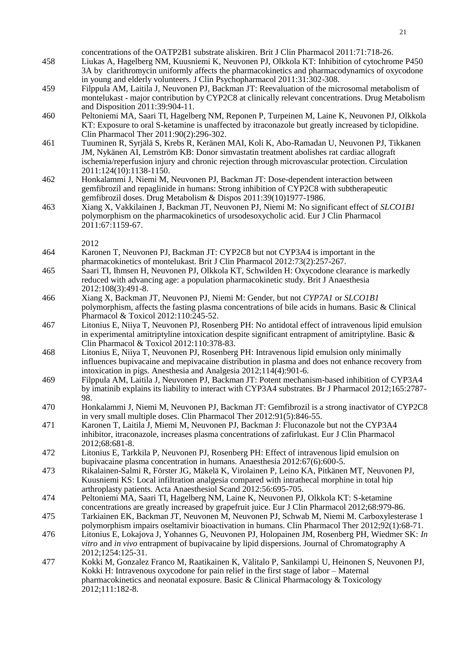concentrations of the OATP2B1 substrate aliskiren. Brit J Clin Pharmacol 2011:71:718-26.

- 458 Liukas A, Hagelberg NM, Kuusniemi K, Neuvonen PJ, Olkkola KT: Inhibition of cytochrome P450 3A by clarithromycin uniformly affects the pharmacokinetics and pharmacodynamics of oxycodone in young and elderly volunteers. J Clin Psychopharmacol 2011:31:302-308.
- 459 Filppula AM, Laitila J, Neuvonen PJ, Backman JT: Reevaluation of the microsomal metabolism of montelukast - major contribution by CYP2C8 at clinically relevant concentrations. Drug Metabolism and Disposition 2011:39:904-11.
- 460 Peltoniemi MA, Saari TI, Hagelberg NM, Reponen P, Turpeinen M, Laine K, Neuvonen PJ, Olkkola KT: Exposure to oral S-ketamine is unaffected by itraconazole but greatly increased by ticlopidine. Clin Pharmacol Ther 2011:90(2):296-302.
- 461 Tuuminen R, Syrjälä S, Krebs R, Keränen MAI, Koli K, Abo-Ramadan U, Neuvonen PJ, Tikkanen JM, Nykänen AI, Lemström KB: Donor simvastatin treatment abolishes rat cardiac allograft ischemia/reperfusion injury and chronic rejection through microvascular protection. Circulation 2011:124(10):1138-1150.
- 462 Honkalammi J, Niemi M, Neuvonen PJ, Backman JT: Dose-dependent interaction between gemfibrozil and repaglinide in humans: Strong inhibition of  $\angle$ YP2C8 with subtherapeutic gemfibrozil doses. Drug Metabolism & Dispos 2011:39(10)1977-1986.
- 463 Xiang X, Vakkilainen J, Backman JT, Neuvonen PJ, Niemi M: No significant effect of *SLCO1B1* polymorphism on the pharmacokinetics of ursodesoxycholic acid. Eur J Clin Pharmacol 2011:67:1159-67.

- 464 Karonen T, Neuvonen PJ, Backman JT: CYP2C8 but not CYP3A4 is important in the pharmacokinetics of montelukast. Brit J Clin Pharmacol 2012:73(2):257-267.
- 465 Saari TI, Ihmsen H, Neuvonen PJ, Olkkola KT, Schwilden H: Oxycodone clearance is markedly reduced with advancing age: a population pharmacokinetic study. Brit J Anaesthesia 2012:108(3):491-8.
- 466 Xiang X, Backman JT, Neuvonen PJ, Niemi M: Gender, but not *CYP7A1* or *SLCO1B1* polymorphism, affects the fasting plasma concentrations of bile acids in humans. Basic & Clinical Pharmacol & Toxicol 2012:110:245-52.
- 467 Litonius E, Niiya T, Neuvonen PJ, Rosenberg PH: No antidotal effect of intravenous lipid emulsion in experimental amitriptyline intoxication despite significant entrapment of amitriptyline. Basic & Clin Pharmacol & Toxicol 2012:110:378-83.
- 468 Litonius E, Niiya T, Neuvonen PJ, Rosenberg PH: Intravenous lipid emulsion only minimally influences bupivacaine and mepivacaine distribution in plasma and does not enhance recovery from intoxication in pigs. Anesthesia and Analgesia 2012;114(4):901-6.
- 469 Filppula AM, Laitila J, Neuvonen PJ, Backman JT: Potent mechanism-based inhibition of CYP3A4 by imatinib explains its liability to interact with CYP3A4 substrates. Br J Pharmacol 2012;165:2787- 98.
- 470 Honkalammi J, Niemi M, Neuvonen PJ, Backman JT: Gemfibrozil is a strong inactivator of CYP2C8 in very small multiple doses. Clin Pharmacol Ther 2012:91(5):846-55.
- 471 Karonen T, Laitila J, Miemi M, Neuvonen PJ, Backman J: Fluconazole but not the CYP3A4 inhibitor, itraconazole, increases plasma concentrations of zafirlukast. Eur J Clin Pharmacol 2012;68:681-8.
- 472 Litonius E, Tarkkila P, Neuvonen PJ, Rosenberg PH: Effect of intravenous lipid emulsion on bupivacaine plasma concentration in humans. Anaesthesia 2012:67(6):600-5.
- 473 Rikalainen-Salmi R, Förster JG, Mäkelä K, Virolainen P, Leino KA, Pitkänen MT, Neuvonen PJ, Kuusniemi KS: Local infiltration analgesia compared with intrathecal morphine in total hip arthroplasty patients. Acta Anaesthesiol Scand 2012:56:695-705.
- 474 Peltoniemi MA, Saari TI, Hagelberg NM, Laine K, Neuvonen PJ, Olkkola KT: S-ketamine concentrations are greatly increased by grapefruit juice. Eur J Clin Pharmacol 2012;68:979-86.
- 475 Tarkiainen EK, Backman JT, Neuvonen M, Neuvonen PJ, Schwab M, Niemi M. Carboxylesterase 1 polymorphism impairs oseltamivir bioactivation in humans. Clin Pharmacol Ther 2012;92(1):68-71.
- 476 Litonius E, Lokajova J, Yohannes G, Neuvonen PJ, Holopainen JM, Rosenberg PH, Wiedmer SK: *In vitro* and *in vivo* entrapment of bupivacaine by lipid dispersions. Journal of Chromatography A 2012;1254:125-31.
- 477 Kokki M, Gonzalez Franco M, Raatikainen K, Välitalo P, Sankilampi U, Heinonen S, Neuvonen PJ, Kokki H: Intravenous oxycodone for pain relief in the first stage of labor – Maternal pharmacokinetics and neonatal exposure. Basic & Clinical Pharmacology & Toxicology 2012;111:182-8.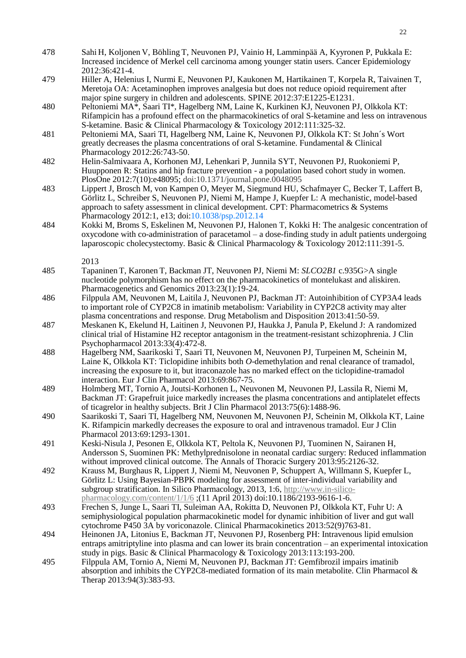- 478 Sahi H, Koljonen V, Böhling T, Neuvonen PJ, Vainio H, Lamminpää A, Kyyronen P, Pukkala E: Increased incidence of Merkel cell carcinoma among younger statin users. Cancer Epidemiology 2012:36:421-4.
- 479 Hiller A, Helenius I, Nurmi E, Neuvonen PJ, Kaukonen M, Hartikainen T, Korpela R, Taivainen T, Meretoja OA: Acetaminophen improves analgesia but does not reduce opioid requirement after major spine surgery in children and adolescents. SPINE 2012:37:E1225-E1231.
- 480 Peltoniemi MA\*, Saari TI\*, Hagelberg NM, Laine K, Kurkinen KJ, Neuvonen PJ, Olkkola KT: Rifampicin has a profound effect on the pharmacokinetics of oral S-ketamine and less on intravenous S-ketamine. Basic & Clinical Pharmacology & Toxicology 2012:111:325-32.
- 481 Peltoniemi MA, Saari TI, Hagelberg NM, Laine K, Neuvonen PJ, Olkkola KT: St John´s Wort greatly decreases the plasma concentrations of oral S-ketamine. Fundamental & Clinical Pharmacology 2012:26:743-50.
- 482 Helin-Salmivaara A, Korhonen MJ, Lehenkari P, Junnila SYT, Neuvonen PJ, Ruokoniemi P, Huupponen R: Statins and hip fracture prevention - a population based cohort study in women. PlosOne 2012:7(10):e48095; doi:10.1371/journal.pone.0048095
- 483 Lippert J, Brosch M, von Kampen O, Meyer M, Siegmund HU, Schafmayer C, Becker T, Laffert B, Görlitz L, Schreiber S, Neuvonen PJ, Niemi M, Hampe J, Kuepfer L: A mechanistic, model-based approach to safety assessment in clinical development. CPT: Pharmacometrics & Systems Pharmacology 2012:1, e13; doi:10.1038/psp.2012.14
- 484 Kokki M, Broms S, Eskelinen M, Neuvonen PJ, Halonen T, Kokki H: The analgesic concentration of oxycodone with co-administration of paracetamol – a dose-finding study in adult patients undergoing laparoscopic cholecystectomy. Basic & Clinical Pharmacology & Toxicology 2012:111:391-5.
	- 2013
- 485 Tapaninen T, Karonen T, Backman JT, Neuvonen PJ, Niemi M: *SLCO2B1* c.935G>A single nucleotide polymorphism has no effect on the pharmacokinetics of montelukast and aliskiren. Pharmacogenetics and Genomics 2013:23(1):19-24.
- 486 Filppula AM, Neuvonen M, Laitila J, Neuvonen PJ, Backman JT: Autoinhibition of CYP3A4 leads to important role of CYP2C8 in imatinib metabolism: Variability in CYP2C8 activity may alter plasma concentrations and response. Drug Metabolism and Disposition 2013:41:50-59.
- 487 Meskanen K, Ekelund H, Laitinen J, Neuvonen PJ, Haukka J, Panula P, Ekelund J: A randomized clinical trial of Histamine H2 receptor antagonism in the treatment-resistant schizophrenia. J Clin Psychopharmacol 2013:33(4):472-8.
- 488 Hagelberg NM, Saarikoski T, Saari TI, Neuvonen M, Neuvonen PJ, Turpeinen M, Scheinin M, Laine K, Olkkola KT: Ticlopidine inhibits both *O*-demethylation and renal clearance of tramadol, increasing the exposure to it, but itraconazole has no marked effect on the ticlopidine-tramadol interaction. Eur J Clin Pharmacol 2013:69:867-75.
- 489 Holmberg MT, Tornio A, Joutsi-Korhonen L, Neuvonen M, Neuvonen PJ, Lassila R, Niemi M, Backman JT: Grapefruit juice markedly increases the plasma concentrations and antiplatelet effects of ticagrelor in healthy subjects. Brit J Clin Pharmacol 2013:75(6):1488-96.
- 490 Saarikoski T, Saari TI, Hagelberg NM, Neuvonen M, Neuvonen PJ, Scheinin M, Olkkola KT, Laine K. Rifampicin markedly decreases the exposure to oral and intravenous tramadol. Eur J Clin Pharmacol 2013:69:1293-1301.
- 491 Keski-Nisula J, Pesonen E, Olkkola KT, Peltola K, Neuvonen PJ, Tuominen N, Sairanen H, Andersson S, Suominen PK: Methylprednisolone in neonatal cardiac surgery: Reduced inflammation without improved clinical outcome. The Annals of Thoracic Surgery 2013:95:2126-32.
- 492 Krauss M, Burghaus R, Lippert J, Niemi M, Neuvonen P, Schuppert A, Willmann S, Kuepfer L, Görlitz L: Using Bayesian-PBPK modeling for assessment of inter-individual variability and subgroup stratification. In Silico Pharmacology, 2013, 1:6[, http://www.in-silico](http://www.in-silico-pharmacology.com/content/1/1/6)[pharmacology.com/content/1/1/6](http://www.in-silico-pharmacology.com/content/1/1/6) ;(11 April 2013) doi:10.1186/2193-9616-1-6.
- 493 Frechen S, Junge L, Saari TI, Suleiman AA, Rokitta D, Neuvonen PJ, Olkkola KT, Fuhr U: A semiphysiological population pharmacokinetic model for dynamic inhibition of liver and gut wall cytochrome P450 3A by voriconazole. Clinical Pharmacokinetics 2013:52(9)763-81.
- 494 Heinonen JA, Litonius E, Backman JT, Neuvonen PJ, Rosenberg PH: Intravenous lipid emulsion entraps amitriptyline into plasma and can lower its brain concentration – an experimental intoxication study in pigs. Basic & Clinical Pharmacology & Toxicology 2013:113:193-200.
- 495 Filppula AM, Tornio A, Niemi M, Neuvonen PJ, Backman JT: Gemfibrozil impairs imatinib absorption and inhibits the CYP2C8-mediated formation of its main metabolite. Clin Pharmacol & Therap 2013:94(3):383-93.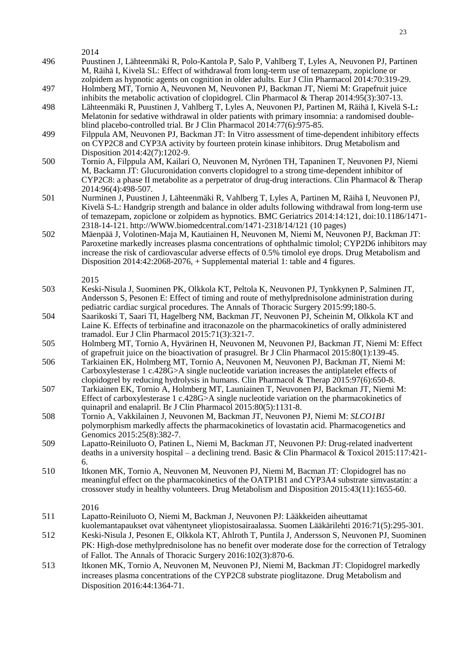2014 496 Puustinen J, Lähteenmäki R, Polo-Kantola P, Salo P, Vahlberg T, Lyles A, Neuvonen PJ, Partinen M, Räihä I, Kivelä SL: Effect of withdrawal from long-term use of temazepam, zopiclone or zolpidem as hypnotic agents on cognition in older adults. Eur J Clin Pharmacol 2014:70:319-29. 497 Holmberg MT, Tornio A, Neuvonen M, Neuvonen PJ, Backman JT, Niemi M: Grapefruit juice inhibits the metabolic activation of clopidogrel. Clin Pharmacol & Therap 2014:95(3):307-13. 498 Lähteenmäki R, Puustinen J, Vahlberg T, Lyles A, Neuvonen PJ, Partinen M, Räihä I, Kivelä S-L**:**  Melatonin for sedative withdrawal in older patients with primary insomnia: a randomised doubleblind placebo-controlled trial. Br J Clin Pharmacol 2014:77(6):975-85. 499 Filppula AM, Neuvonen PJ, Backman JT: In Vitro assessment of time-dependent inhibitory effects on CYP2C8 and CYP3A activity by fourteen protein kinase inhibitors. Drug Metabolism and Disposition 2014:42(7):1202-9. 500 Tornio A, Filppula AM, Kailari O, Neuvonen M, Nyrönen TH, Tapaninen T, Neuvonen PJ, Niemi M, Backamn JT: Glucuronidation converts clopidogrel to a strong time-dependent inhibitor of CYP2C8: a phase II metabolite as a perpetrator of drug-drug interactions. Clin Pharmacol & Therap 2014:96(4):498-507. 501 Nurminen J, Puustinen J, Lähteenmäki R, Vahlberg T, Lyles A, Partinen M, Räihä I, Neuvonen PJ, Kivelä S-L: Handgrip strength and balance in older adults following withdrawal from long-term use of temazepam, zopiclone or zolpidem as hypnotics. BMC Geriatrics 2014:14:121, doi:10.1186/1471- 2318-14-121. http://WWW.biomedcentral.com/1471-2318/14/121 (10 pages) 502 Mäenpää J, Volotinen-Maja M, Kautiainen H, Neuvonen M, Niemi M, Neuvonen PJ, Backman JT: Paroxetine markedly increases plasma concentrations of ophthalmic timolol; CYP2D6 inhibitors may increase the risk of cardiovascular adverse effects of 0.5% timolol eye drops. Drug Metabolism and Disposition  $2014:42:2068-2076$ ,  $+$  Supplemental material 1: table and 4 figures. 2015 503 Keski-Nisula J, Suominen PK, Olkkola KT, Peltola K, Neuvonen PJ, Tynkkynen P, Salminen JT, Andersson S, Pesonen E: Effect of timing and route of methylprednisolone administration during pediatric cardiac surgical procedures. The Annals of Thoracic Surgery 2015:99;180-5. 504 Saarikoski T, Saari TI, Hagelberg NM, Backman JT, Neuvonen PJ, Scheinin M, Olkkola KT and Laine K. Effects of terbinafine and itraconazole on the pharmacokinetics of orally administered tramadol. Eur J Clin Pharmacol 2015:71(3):321-7. 505 Holmberg MT, Tornio A, Hyvärinen H, Neuvonen M, Neuvonen PJ, Backman JT, Niemi M: Effect of grapefruit juice on the bioactivation of prasugrel. Br J Clin Pharmacol 2015:80(1):139-45. 506 Tarkiainen EK, Holmberg MT, Tornio A, Neuvonen M, Neuvonen PJ, Backman JT, Niemi M: Carboxylesterase 1 c.428G>A single nucleotide variation increases the antiplatelet effects of clopidogrel by reducing hydrolysis in humans. Clin Pharmacol & Therap 2015:97(6):650-8. 507 Tarkiainen EK, Tornio A, Holmberg MT, Launiainen T, Neuvonen PJ, Backman JT, Niemi M: Effect of carboxylesterase 1 c.428G>A single nucleotide variation on the pharmacokinetics of quinapril and enalapril. Br J Clin Pharmacol 2015:80(5):1131-8. 508 Tornio A, Vakkilainen J, Neuvonen M, Backman JT, Neuvonen PJ, Niemi M: *SLCO1B1* polymorphism markedly affects the pharmacokinetics of lovastatin acid. Pharmacogenetics and Genomics 2015:25(8):382-7. 509 Lapatto-Reiniluoto O, Patinen L, Niemi M, Backman JT, Neuvonen PJ: Drug-related inadvertent deaths in a university hospital – a declining trend. Basic & Clin Pharmacol & Toxicol 2015:117:421-6. 510 Itkonen MK, Tornio A, Neuvonen M, Neuvonen PJ, Niemi M, Bacman JT: Clopidogrel has no meaningful effect on the pharmacokinetics of the OATP1B1 and CYP3A4 substrate simvastatin: a crossover study in healthy volunteers. Drug Metabolism and Disposition 2015:43(11):1655-60. 2016 511 Lapatto-Reiniluoto O, Niemi M, Backman J, Neuvonen PJ: Lääkkeiden aiheuttamat kuolemantapaukset ovat vähentyneet yliopistosairaalassa. Suomen Lääkärilehti 2016:71(5):295-301. 512 Keski-Nisula J, Pesonen E, Olkkola KT, Ahlroth T, Puntila J, Andersson S, Neuvonen PJ, Suominen PK: High-dose methylprednisolone has no benefit over moderate dose for the correction of Tetralogy of Fallot. The Annals of Thoracic Surgery 2016:102(3):870-6. 513 Itkonen MK, Tornio A, Neuvonen M, Neuvonen PJ, Niemi M, Backman JT: Clopidogrel markedly increases plasma concentrations of the CYP2C8 substrate pioglitazone. Drug Metabolism and Disposition 2016:44:1364-71.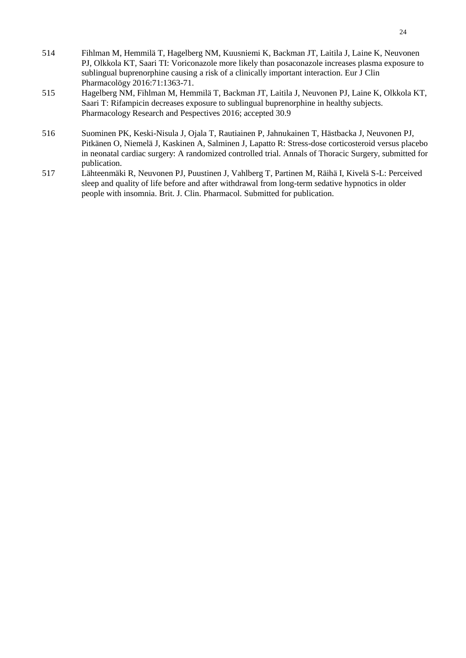- 514 Fihlman M, Hemmilä T, Hagelberg NM, Kuusniemi K, Backman JT, Laitila J, Laine K, Neuvonen PJ, Olkkola KT, Saari TI: Voriconazole more likely than posaconazole increases plasma exposure to sublingual buprenorphine causing a risk of a clinically important interaction. Eur J Clin Pharmacolögy 2016:71:1363-71.
- 515 Hagelberg NM, Fihlman M, Hemmilä T, Backman JT, Laitila J, Neuvonen PJ, Laine K, Olkkola KT, Saari T: Rifampicin decreases exposure to sublingual buprenorphine in healthy subjects. Pharmacology Research and Pespectives 2016; accepted 30.9
- 516 Suominen PK, Keski-Nisula J, Ojala T, Rautiainen P, Jahnukainen T, Hästbacka J, Neuvonen PJ, Pitkänen O, Niemelä J, Kaskinen A, Salminen J, Lapatto R: Stress-dose corticosteroid versus placebo in neonatal cardiac surgery: A randomized controlled trial. Annals of Thoracic Surgery, submitted for publication.
- 517 Lähteenmäki R, Neuvonen PJ, Puustinen J, Vahlberg T, Partinen M, Räihä I, Kivelä S-L: Perceived sleep and quality of life before and after withdrawal from long-term sedative hypnotics in older people with insomnia. Brit. J. Clin. Pharmacol. Submitted for publication.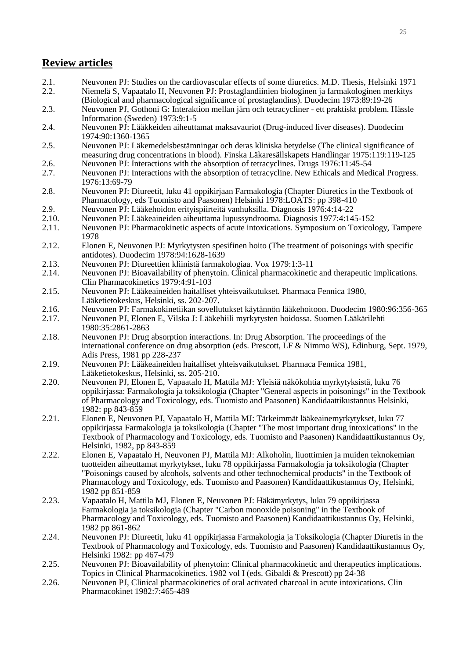## **Review articles**

- 2.1. Neuvonen PJ: Studies on the cardiovascular effects of some diuretics. M.D. Thesis, Helsinki 1971<br>2.2. Niemelä S. Vapaatalo H. Neuvonen PI: Prostaglandiinien biologinen ja farmakologinen merkitys 2.2. Niemelä S, Vapaatalo H, Neuvonen PJ: Prostaglandiinien biologinen ja farmakologinen merkitys
- (Biological and pharmacological significance of prostaglandins). Duodecim 1973:89:19-26 2.3. Neuvonen PJ, Gothoni G: Interaktion mellan järn och tetracycliner - ett praktiskt problem. Hässle
- Information (Sweden) 1973:9:1-5
- 2.4. Neuvonen PJ: Lääkkeiden aiheuttamat maksavauriot (Drug-induced liver diseases). Duodecim 1974:90:1360-1365
- 2.5. Neuvonen PJ: Läkemedelsbestämningar och deras kliniska betydelse (The clinical significance of measuring drug concentrations in blood). Finska Läkaresällskapets Handlingar 1975:119:119-125 2.6. Neuvonen PJ: Interactions with the absorption of tetracyclines. Drugs 1976:11:45-54
- 2.7. Neuvonen PJ: Interactions with the absorption of tetracycline. New Ethicals and Medical Progress. 1976:13:69-79
- 2.8. Neuvonen PJ: Diureetit, luku 41 oppikirjaan Farmakologia (Chapter Diuretics in the Textbook of Pharmacology, eds Tuomisto and Paasonen) Helsinki 1978:LOATS: pp 398-410
- 2.9. Neuvonen PJ: Lääkehoidon erityispiirteitä vanhuksilla. Diagnosis 1976:4:14-22<br>2.10. Neuvonen PJ: Lääkeaineiden aiheuttama lupussyndrooma. Diagnosis 1977:4:14.
- 2.10. Neuvonen PJ: Lääkeaineiden aiheuttama lupussyndrooma. Diagnosis 1977:4:145-152
- 2.11. Neuvonen PJ: Pharmacokinetic aspects of acute intoxications. Symposium on Toxicology, Tampere 1978
- 2.12. Elonen E, Neuvonen PJ: Myrkytysten spesifinen hoito (The treatment of poisonings with specific antidotes). Duodecim 1978:94:1628-1639
- 2.13. Neuvonen PJ: Diureettien kliinistä farmakologiaa. Vox 1979:1:3-11
- 2.14. Neuvonen PJ: Bioavailability of phenytoin. Clinical pharmacokinetic and therapeutic implications. Clin Pharmacokinetics 1979:4:91-103
- 2.15. Neuvonen PJ: Lääkeaineiden haitalliset yhteisvaikutukset. Pharmaca Fennica 1980, Lääketietokeskus, Helsinki, ss. 202-207.
- 2.16. Neuvonen PJ: Farmakokinetiikan sovellutukset käytännön lääkehoitoon. Duodecim 1980:96:356-365
- 2.17. Neuvonen PJ, Elonen E, Vilska J: Lääkehiili myrkytysten hoidossa. Suomen Lääkärilehti 1980:35:2861-2863
- 2.18. Neuvonen PJ: Drug absorption interactions. In: Drug Absorption. The proceedings of the international conference on drug absorption (eds. Prescott, LF & Nimmo WS), Edinburg, Sept. 1979, Adis Press, 1981 pp 228-237
- 2.19. Neuvonen PJ: Lääkeaineiden haitalliset yhteisvaikutukset. Pharmaca Fennica 1981, Lääketietokeskus, Helsinki, ss. 205-210.
- 2.20. Neuvonen PJ, Elonen E, Vapaatalo H, Mattila MJ: Yleisiä näkökohtia myrkytyksistä, luku 76 oppikirjassa: Farmakologia ja toksikologia (Chapter "General aspects in poisonings" in the Textbook of Pharmacology and Toxicology, eds. Tuomisto and Paasonen) Kandidaattikustannus Helsinki, 1982: pp 843-859
- 2.21. Elonen E, Neuvonen PJ, Vapaatalo H, Mattila MJ: Tärkeimmät lääkeainemyrkytykset, luku 77 oppikirjassa Farmakologia ja toksikologia (Chapter "The most important drug intoxications" in the Textbook of Pharmacology and Toxicology, eds. Tuomisto and Paasonen) Kandidaattikustannus Oy, Helsinki, 1982, pp 843-859
- 2.22. Elonen E, Vapaatalo H, Neuvonen PJ, Mattila MJ: Alkoholin, liuottimien ja muiden teknokemian tuotteiden aiheuttamat myrkytykset, luku 78 oppikirjassa Farmakologia ja toksikologia (Chapter "Poisonings caused by alcohols, solvents and other technochemical products" in the Textbook of Pharmacology and Toxicology, eds. Tuomisto and Paasonen) Kandidaattikustannus Oy, Helsinki, 1982 pp 851-859
- 2.23. Vapaatalo H, Mattila MJ, Elonen E, Neuvonen PJ: Häkämyrkytys, luku 79 oppikirjassa Farmakologia ja toksikologia (Chapter "Carbon monoxide poisoning" in the Textbook of Pharmacology and Toxicology, eds. Tuomisto and Paasonen) Kandidaattikustannus Oy, Helsinki, 1982 pp 861-862
- 2.24. Neuvonen PJ: Diureetit, luku 41 oppikirjassa Farmakologia ja Toksikologia (Chapter Diuretis in the Textbook of Pharmacology and Toxicology, eds. Tuomisto and Paasonen) Kandidaattikustannus Oy, Helsinki 1982: pp 467-479
- 2.25. Neuvonen PJ: Bioavailability of phenytoin: Clinical pharmacokinetic and therapeutics implications. Topics in Clinical Pharmacokinetics. 1982 vol I (eds. Gibaldi & Prescott) pp 24-38
- 2.26. Neuvonen PJ, Clinical pharmacokinetics of oral activated charcoal in acute intoxications. Clin Pharmacokinet 1982:7:465-489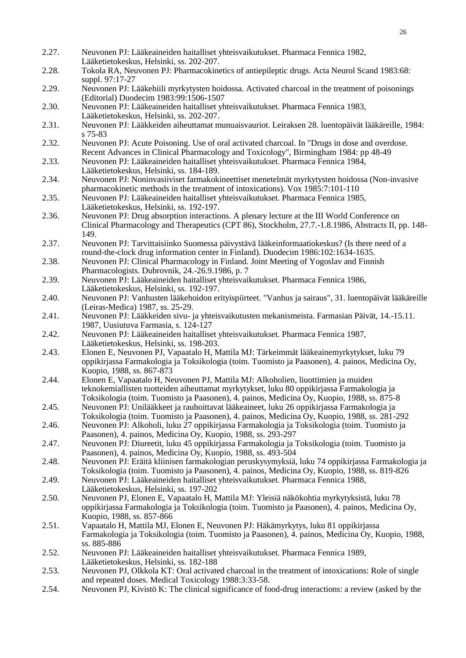- 2.27. Neuvonen PJ: Lääkeaineiden haitalliset yhteisvaikutukset. Pharmaca Fennica 1982, Lääketietokeskus, Helsinki, ss. 202-207. 2.28. Tokola RA, Neuvonen PJ: Pharmacokinetics of antiepileptic drugs. Acta Neurol Scand 1983:68: suppl. 97:17-27
- 2.29. Neuvonen PJ: Lääkehiili myrkytysten hoidossa. Activated charcoal in the treatment of poisonings (Editorial) Duodecim 1983:99:1506-1507
- 2.30. Neuvonen PJ: Lääkeaineiden haitalliset yhteisvaikutukset. Pharmaca Fennica 1983, Lääketietokeskus, Helsinki, ss. 202-207.
- 2.31. Neuvonen PJ: Lääkkeiden aiheuttamat munuaisvauriot. Leiraksen 28. luentopäivät lääkäreille, 1984: s 75-83
- 2.32. Neuvonen PJ: Acute Poisoning. Use of oral activated charcoal. In "Drugs in dose and overdose. Recent Advances in Clinical Pharmacology and Toxicology", Birmingham 1984: pp 48-49
- 2.33. Neuvonen PJ: Lääkeaineiden haitalliset yhteisvaikutukset. Pharmaca Fennica 1984, Lääketietokeskus, Helsinki, ss. 184-189.
- 2.34. Neuvonen PJ: Noninvasiiviset farmakokineettiset menetelmät myrkytysten hoidossa (Non-invasive pharmacokinetic methods in the treatment of intoxications). Vox 1985:7:101-110
- 2.35. Neuvonen PJ: Lääkeaineiden haitalliset yhteisvaikutukset. Pharmaca Fennica 1985, Lääketietokeskus, Helsinki, ss. 192-197.
- 2.36. Neuvonen PJ: Drug absorption interactions. A plenary lecture at the III World Conference on Clinical Pharmacology and Therapeutics (CPT 86), Stockholm, 27.7.-1.8.1986, Abstracts II, pp. 148- 149.
- 2.37. Neuvonen PJ: Tarvittaisiinko Suomessa päivystävä lääkeinformaatiokeskus? (Is there need of a round-the-clock drug information center in Finland). Duodecim 1986:102:1634-1635.
- 2.38. Neuvonen PJ: Clinical Pharmacology in Finland. Joint Meeting of Yogoslav and Finnish Pharmacologists. Dubrovnik, 24.-26.9.1986, p. 7
- 2.39. Neuvonen PJ: Lääkeaineiden haitalliset yhteisvaikutukset. Pharmaca Fennica 1986, Lääketietokeskus, Helsinki, ss. 192-197.
- 2.40. Neuvonen PJ: Vanhusten lääkehoidon erityispiirteet. "Vanhus ja sairaus", 31. luentopäivät lääkäreille (Leiras-Medica) 1987, ss. 25-29.
- 2.41. Neuvonen PJ: Lääkkeiden sivu- ja yhteisvaikutusten mekanismeista. Farmasian Päivät, 14.-15.11. 1987, Uusiutuva Farmasia, s. 124-127
- 2.42. Neuvonen PJ: Lääkeaineiden haitalliset yhteisvaikutukset. Pharmaca Fennica 1987, Lääketietokeskus, Helsinki, ss. 198-203.
- 2.43. Elonen E, Neuvonen PJ, Vapaatalo H, Mattila MJ: Tärkeimmät lääkeainemyrkytykset, luku 79 oppikirjassa Farmakologia ja Toksikologia (toim. Tuomisto ja Paasonen), 4. painos, Medicina Oy, Kuopio, 1988, ss. 867-873
- 2.44. Elonen E, Vapaatalo H, Neuvonen PJ, Mattila MJ: Alkoholien, liuottimien ja muiden teknokemiallisten tuotteiden aiheuttamat myrkytykset, luku 80 oppikirjassa Farmakologia ja Toksikologia (toim. Tuomisto ja Paasonen), 4. painos, Medicina Oy, Kuopio, 1988, ss. 875-8
- 2.45. Neuvonen PJ: Unilääkkeet ja rauhoittavat lääkeaineet, luku 26 oppikirjassa Farmakologia ja Toksikologia (toim. Tuomisto ja Paasonen), 4. painos, Medicina Oy, Kuopio, 1988, ss. 281-292
- 2.46. Neuvonen PJ: Alkoholi, luku 27 oppikirjassa Farmakologia ja Toksikologia (toim. Tuomisto ja Paasonen), 4. painos, Medicina Oy, Kuopio, 1988, ss. 293-297
- 2.47. Neuvonen PJ: Diureetit, luku 45 oppikirjassa Farmakologia ja Toksikologia (toim. Tuomisto ja Paasonen), 4. painos, Medicina Oy, Kuopio, 1988, ss. 493-504
- 2.48. Neuvonen PJ: Eräitä kliinisen farmakologian peruskysymyksiä, luku 74 oppikirjassa Farmakologia ja Toksikologia (toim. Tuomisto ja Paasonen), 4. painos, Medicina Oy, Kuopio, 1988, ss. 819-826
- 2.49. Neuvonen PJ: Lääkeaineiden haitalliset yhteisvaikutukset. Pharmaca Fennica 1988, Lääketietokeskus, Helsinki, ss. 197-202
- 2.50. Neuvonen PJ, Elonen E, Vapaatalo H, Mattila MJ: Yleisiä näkökohtia myrkytyksistä, luku 78 oppikirjassa Farmakologia ja Toksikologia (toim. Tuomisto ja Paasonen), 4. painos, Medicina Oy, Kuopio, 1988, ss. 857-866
- 2.51. Vapaatalo H, Mattila MJ, Elonen E, Neuvonen PJ: Häkämyrkytys, luku 81 oppikirjassa Farmakologia ja Toksikologia (toim. Tuomisto ja Paasonen), 4. painos, Medicina Oy, Kuopio, 1988, ss. 885-886
- 2.52. Neuvonen PJ: Lääkeaineiden haitalliset yhteisvaikutukset. Pharmaca Fennica 1989, Lääketietokeskus, Helsinki, ss. 182-188
- 2.53. Neuvonen PJ, Olkkola KT: Oral activated charcoal in the treatment of intoxications: Role of single and repeated doses. Medical Toxicology 1988:3:33-58.
- 2.54. Neuvonen PJ, Kivistö K: The clinical significance of food-drug interactions: a review (asked by the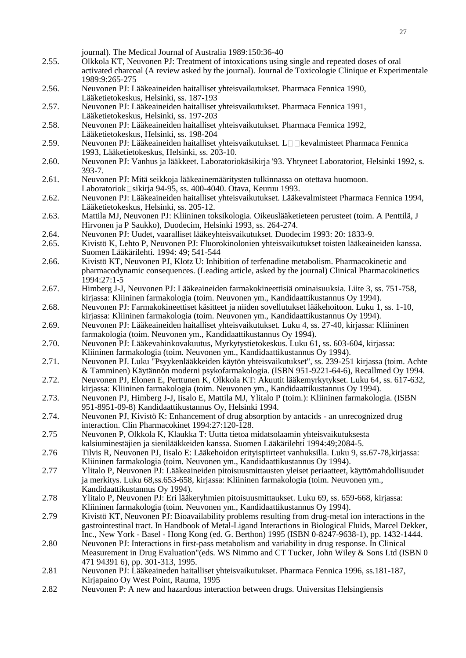|       | journal). The Medical Journal of Australia 1989:150:36-40                                                                                                                         |
|-------|-----------------------------------------------------------------------------------------------------------------------------------------------------------------------------------|
| 2.55. | Olkkola KT, Neuvonen PJ: Treatment of intoxications using single and repeated doses of oral                                                                                       |
|       | activated charcoal (A review asked by the journal). Journal de Toxicologie Clinique et Experimentale                                                                              |
|       | 1989:9:265-275                                                                                                                                                                    |
| 2.56. | Neuvonen PJ: Lääkeaineiden haitalliset yhteisvaikutukset. Pharmaca Fennica 1990,<br>Lääketietokeskus, Helsinki, ss. 187-193                                                       |
| 2.57. | Neuvonen PJ: Lääkeaineiden haitalliset yhteisvaikutukset. Pharmaca Fennica 1991,                                                                                                  |
|       | Lääketietokeskus, Helsinki, ss. 197-203                                                                                                                                           |
| 2.58. | Neuvonen PJ: Lääkeaineiden haitalliset yhteisvaikutukset. Pharmaca Fennica 1992,                                                                                                  |
|       | Lääketietokeskus, Helsinki, ss. 198-204                                                                                                                                           |
| 2.59. | Neuvonen PJ: Lääkeaineiden haitalliset yhteisvaikutukset. L□□kevalmisteet Pharmaca Fennica                                                                                        |
|       | 1993, Lääketietokeskus, Helsinki, ss. 203-10.                                                                                                                                     |
| 2.60. | Neuvonen PJ: Vanhus ja lääkkeet. Laboratoriokäsikirja '93. Yhtyneet Laboratoriot, Helsinki 1992, s.                                                                               |
|       | $393 - 7.$                                                                                                                                                                        |
| 2.61. | Neuvonen PJ: Mitä seikkoja lääkeainemääritysten tulkinnassa on otettava huomoon.                                                                                                  |
|       | Laboratoriok□sikirja 94-95, ss. 400-4040. Otava, Keuruu 1993.                                                                                                                     |
| 2.62. | Neuvonen PJ: Lääkeaineiden haitalliset yhteisvaikutukset. Lääkevalmisteet Pharmaca Fennica 1994,                                                                                  |
|       | Lääketietokeskus, Helsinki, ss. 205-12.                                                                                                                                           |
| 2.63. | Mattila MJ, Neuvonen PJ: Kliininen toksikologia. Oikeuslääketieteen perusteet (toim. A Penttilä, J<br>Hirvonen ja P Saukko), Duodecim, Helsinki 1993, ss. 264-274.                |
| 2.64. | Neuvonen PJ: Uudet, vaaralliset lääkeyhteisvaikutukset. Duodecim 1993: 20: 1833-9.                                                                                                |
| 2.65. | Kivistö K, Lehto P, Neuvonen PJ: Fluorokinolonien yhteisvaikutukset toisten lääkeaineiden kanssa.                                                                                 |
|       | Suomen Lääkärilehti. 1994: 49; 541-544                                                                                                                                            |
| 2.66. | Kivistö KT, Neuvonen PJ, Klotz U: Inhibition of terfenadine metabolism. Pharmacokinetic and                                                                                       |
|       | pharmacodynamic consequences. (Leading article, asked by the journal) Clinical Pharmacokinetics                                                                                   |
|       | 1994:27:1-5                                                                                                                                                                       |
| 2.67. | Himberg J-J, Neuvonen PJ: Lääkeaineiden farmakokineettisiä ominaisuuksia. Liite 3, ss. 751-758,                                                                                   |
|       | kirjassa: Kliininen farmakologia (toim. Neuvonen ym., Kandidaattikustannus Oy 1994).                                                                                              |
| 2.68. | Neuvonen PJ: Farmakokineettiset käsitteet ja niiden sovellutukset lääkehoitoon. Luku 1, ss. 1-10,                                                                                 |
|       | kirjassa: Kliininen farmakologia (toim. Neuvonen ym., Kandidaattikustannus Oy 1994).                                                                                              |
| 2.69. | Neuvonen PJ: Lääkeaineiden haitalliset yhteisvaikutukset. Luku 4, ss. 27-40, kirjassa: Kliininen                                                                                  |
|       | farmakologia (toim. Neuvonen ym., Kandidaattikustannus Oy 1994).                                                                                                                  |
| 2.70. | Neuvonen PJ: Lääkevahinkovakuutus, Myrkytystietokeskus. Luku 61, ss. 603-604, kirjassa:                                                                                           |
| 2.71. | Kliininen farmakologia (toim. Neuvonen ym., Kandidaattikustannus Oy 1994).<br>Neuvonen PJ. Luku "Psyykenlääkkeiden käytön yhteisvaikutukset", ss. 239-251 kirjassa (toim. Achte   |
|       | & Tamminen) Käytännön moderni psykofarmakologia. (ISBN 951-9221-64-6), Recallmed Oy 1994.                                                                                         |
| 2.72. | Neuvonen PJ, Elonen E, Perttunen K, Olkkola KT: Akuutit lääkemyrkytykset. Luku 64, ss. 617-632,                                                                                   |
|       | kirjassa: Kliininen farmakologia (toim. Neuvonen ym., Kandidaattikustannus Oy 1994).                                                                                              |
| 2.73. | Neuvonen PJ, Himberg J-J, Iisalo E, Mattila MJ, Ylitalo P (toim.): Kliininen farmakologia. (ISBN                                                                                  |
|       | 951-8951-09-8) Kandidaattikustannus Oy, Helsinki 1994.                                                                                                                            |
| 2.74. | Neuvonen PJ, Kivistö K: Enhancement of drug absorption by antacids - an unrecognized drug                                                                                         |
|       | interaction. Clin Pharmacokinet 1994:27:120-128.                                                                                                                                  |
| 2.75  | Neuvonen P, Olkkola K, Klaukka T: Uutta tietoa midatsolaamin yhteisvaikutuksesta                                                                                                  |
|       | kalsiuminestäjien ja sienilääkkeiden kanssa. Suomen Lääkärilehti 1994:49;2084-5.                                                                                                  |
| 2.76  | Tilvis R, Neuvonen PJ, Iisalo E: Lääkehoidon erityispiirteet vanhuksilla. Luku 9, ss.67-78, kirjassa:                                                                             |
| 2.77  | Kliininen farmakologia (toim. Neuvonen ym., Kandidaattikustannus Oy 1994).<br>Ylitalo P, Neuvonen PJ: Lääkeaineiden pitoisuusmittausten yleiset periaatteet, käyttömahdollisuudet |
|       | ja merkitys. Luku 68,ss.653-658, kirjassa: Kliininen farmakologia (toim. Neuvonen ym.,                                                                                            |
|       | Kandidaattikustannus Oy 1994).                                                                                                                                                    |
| 2.78  | Ylitalo P, Neuvonen PJ: Eri lääkeryhmien pitoisuusmittaukset. Luku 69, ss. 659-668, kirjassa:                                                                                     |
|       | Kliininen farmakologia (toim. Neuvonen ym., Kandidaattikustannus Oy 1994).                                                                                                        |
| 2.79  | Kivistö KT, Neuvonen PJ: Bioavailability problems resulting from drug-metal ion interactions in the                                                                               |
|       | gastrointestinal tract. In Handbook of Metal-Ligand Interactions in Biological Fluids, Marcel Dekker,                                                                             |
|       | Inc., New York - Basel - Hong Kong (ed. G. Berthon) 1995 (ISBN 0-8247-9638-1), pp. 1432-1444.                                                                                     |
| 2.80  | Neuvonen PJ: Interactions in first-pass metabolism and variability in drug response. In Clinical                                                                                  |
|       | Measurement in Drug Evaluation" (eds. WS Nimmo and CT Tucker, John Wiley & Sons Ltd (ISBN 0)                                                                                      |
|       | 471 94391 6), pp. 301-313, 1995.                                                                                                                                                  |
| 2.81  | Neuvonen PJ: Lääkeaineden haitalliset yhteisvaikutukset. Pharmaca Fennica 1996, ss.181-187,                                                                                       |
| 2.82  | Kirjapaino Oy West Point, Rauma, 1995<br>Neuvonen P: A new and hazardous interaction between drugs. Universitas Helsingiensis                                                     |
|       |                                                                                                                                                                                   |
|       |                                                                                                                                                                                   |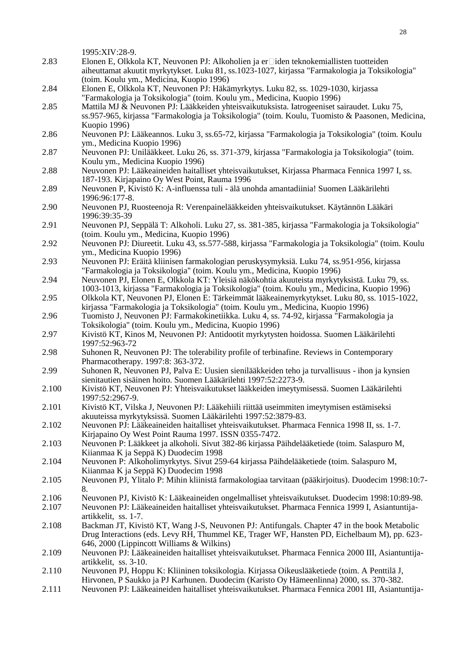|       | 1995:XIV:28-9.                                                                                                                                                                                                                           |
|-------|------------------------------------------------------------------------------------------------------------------------------------------------------------------------------------------------------------------------------------------|
| 2.83  | Elonen E, Olkkola KT, Neuvonen PJ: Alkoholien ja er□iden teknokemiallisten tuotteiden<br>aiheuttamat akuutit myrkytykset. Luku 81, ss.1023-1027, kirjassa "Farmakologia ja Toksikologia"<br>(toim. Koulu ym., Medicina, Kuopio 1996)     |
| 2.84  | Elonen E, Olkkola KT, Neuvonen PJ: Häkämyrkytys. Luku 82, ss. 1029-1030, kirjassa<br>"Farmakologia ja Toksikologia" (toim. Koulu ym., Medicina, Kuopio 1996)                                                                             |
| 2.85  | Mattila MJ & Neuvonen PJ: Lääkkeiden yhteisvaikutuksista. Iatrogeeniset sairaudet. Luku 75,<br>ss.957-965, kirjassa "Farmakologia ja Toksikologia" (toim. Koulu, Tuomisto & Paasonen, Medicina,<br>Kuopio 1996)                          |
| 2.86  | Neuvonen PJ: Lääkeannos. Luku 3, ss.65-72, kirjassa "Farmakologia ja Toksikologia" (toim. Koulu<br>ym., Medicina Kuopio 1996)                                                                                                            |
| 2.87  | Neuvonen PJ: Unilääkkeet. Luku 26, ss. 371-379, kirjassa "Farmakologia ja Toksikologia" (toim.<br>Koulu ym., Medicina Kuopio 1996)                                                                                                       |
| 2.88  | Neuvonen PJ: Lääkeaineiden haitalliset yhteisvaikutukset, Kirjassa Pharmaca Fennica 1997 I, ss.<br>187-193. Kirjapaino Oy West Point, Rauma 1996                                                                                         |
| 2.89  | Neuvonen P, Kivistö K: A-influenssa tuli - älä unohda amantadiinia! Suomen Lääkärilehti<br>1996:96:177-8.                                                                                                                                |
| 2.90  | Neuvonen PJ, Ruosteenoja R: Verenpainelääkkeiden yhteisvaikutukset. Käytännön Lääkäri<br>1996:39:35-39                                                                                                                                   |
| 2.91  | Neuvonen PJ, Seppälä T: Alkoholi. Luku 27, ss. 381-385, kirjassa "Farmakologia ja Toksikologia"<br>(toim. Koulu ym., Medicina, Kuopio 1996)                                                                                              |
| 2.92  | Neuvonen PJ: Diureetit. Luku 43, ss.577-588, kirjassa "Farmakologia ja Toksikologia" (toim. Koulu<br>ym., Medicina Kuopio 1996)                                                                                                          |
| 2.93  | Neuvonen PJ: Eräitä kliinisen farmakologian peruskysymyksiä. Luku 74, ss.951-956, kirjassa<br>"Farmakologia ja Toksikologia" (toim. Koulu ym., Medicina, Kuopio 1996)                                                                    |
| 2.94  | Neuvonen PJ, Elonen E, Olkkola KT: Yleisiä näkökohtia akuuteista myrkytyksistä. Luku 79, ss.<br>1003-1013, kirjassa "Farmakologia ja Toksikologia" (toim. Koulu ym., Medicina, Kuopio 1996)                                              |
| 2.95  | Olkkola KT, Neuvonen PJ, Elonen E: Tärkeimmät lääkeainemyrkytykset. Luku 80, ss. 1015-1022,<br>kirjassa "Farmakologia ja Toksikologia" (toim. Koulu ym., Medicina, Kuopio 1996)                                                          |
| 2.96  | Tuomisto J, Neuvonen PJ: Farmakokinetiikka. Luku 4, ss. 74-92, kirjassa "Farmakologia ja<br>Toksikologia" (toim. Koulu ym., Medicina, Kuopio 1996)                                                                                       |
| 2.97  | Kivistö KT, Kinos M, Neuvonen PJ: Antidootit myrkytysten hoidossa. Suomen Lääkärilehti<br>1997:52:963-72                                                                                                                                 |
| 2.98  | Suhonen R, Neuvonen PJ: The tolerability profile of terbinafine. Reviews in Contemporary<br>Pharmacotherapy. 1997:8: 363-372.                                                                                                            |
| 2.99  | Suhonen R, Neuvonen PJ, Palva E: Uusien sienilääkkeiden teho ja turvallisuus - ihon ja kynsien<br>sienitautien sisäinen hoito. Suomen Lääkärilehti 1997:52:2273-9.                                                                       |
| 2.100 | Kivistö KT, Neuvonen PJ: Yhteisvaikutukset lääkkeiden imeytymisessä. Suomen Lääkärilehti<br>1997:52:2967-9.                                                                                                                              |
| 2.101 | Kivistö KT, Vilska J, Neuvonen PJ: Lääkehiili riittää useimmiten imeytymisen estämiseksi<br>akuuteissa myrkytyksissä. Suomen Lääkärilehti 1997:52:3879-83.                                                                               |
| 2.102 | Neuvonen PJ: Lääkeaineiden haitalliset yhteisvaikutukset. Pharmaca Fennica 1998 II, ss. 1-7.<br>Kirjapaino Oy West Point Rauma 1997. ISSN 0355-7472.                                                                                     |
| 2.103 | Neuvonen P: Lääkkeet ja alkoholi. Sivut 382-86 kirjassa Päihdelääketiede (toim. Salaspuro M,<br>Kiianmaa K ja Seppä K) Duodecim 1998                                                                                                     |
| 2.104 | Neuvonen P: Alkoholimyrkytys. Sivut 259-64 kirjassa Päihdelääketiede (toim. Salaspuro M,<br>Kiianmaa K ja Seppä K) Duodecim 1998                                                                                                         |
| 2.105 | Neuvonen PJ, Ylitalo P: Mihin kliinistä farmakologiaa tarvitaan (pääkirjoitus). Duodecim 1998:10:7-<br>8.                                                                                                                                |
| 2.106 | Neuvonen PJ, Kivistö K: Lääkeaineiden ongelmalliset yhteisvaikutukset. Duodecim 1998:10:89-98.                                                                                                                                           |
| 2.107 | Neuvonen PJ: Lääkeaineiden haitalliset yhteisvaikutukset. Pharmaca Fennica 1999 I, Asiantuntija-<br>artikkelit, ss. 1-7.                                                                                                                 |
| 2.108 | Backman JT, Kivistö KT, Wang J-S, Neuvonen PJ: Antifungals. Chapter 47 in the book Metabolic<br>Drug Interactions (eds. Levy RH, Thummel KE, Trager WF, Hansten PD, Eichelbaum M), pp. 623-<br>646, 2000 (Lippincott Williams & Wilkins) |
| 2.109 | Neuvonen PJ: Lääkeaineiden haitalliset yhteisvaikutukset. Pharmaca Fennica 2000 III, Asiantuntija-<br>artikkelit, ss. 3-10.                                                                                                              |
| 2.110 | Neuvonen PJ, Hoppu K: Kliininen toksikologia. Kirjassa Oikeuslääketiede (toim. A Penttilä J,<br>Hirvonen, P Saukko ja PJ Karhunen. Duodecim (Karisto Oy Hämeenlinna) 2000, ss. 370-382.                                                  |
| 2.111 | Neuvonen PJ: Lääkeaineiden haitalliset yhteisvaikutukset. Pharmaca Fennica 2001 III, Asiantuntija-                                                                                                                                       |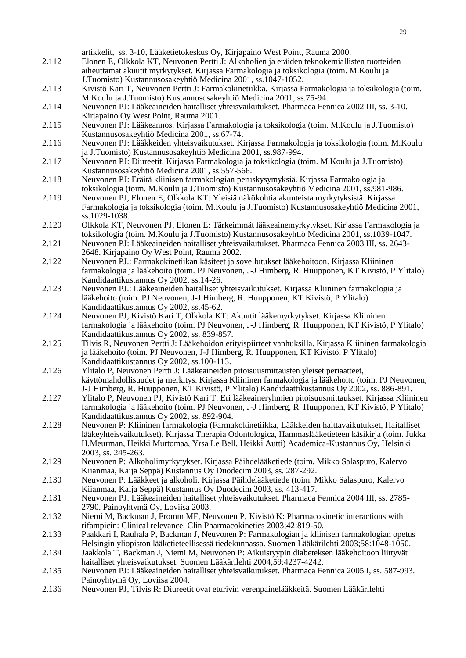artikkelit, ss. 3-10, Lääketietokeskus Oy, Kirjapaino West Point, Rauma 2000. 2.112 Elonen E, Olkkola KT, Neuvonen Pertti J: Alkoholien ja eräiden teknokemiallisten tuotteiden aiheuttamat akuutit myrkytykset. Kirjassa Farmakologia ja toksikologia (toim. M.Koulu ja J.Tuomisto) Kustannusosakeyhtiö Medicina 2001, ss.1047-1052. 2.113 Kivistö Kari T, Neuvonen Pertti J: Farmakokinetiikka. Kirjassa Farmakologia ja toksikologia (toim. M.Koulu ja J.Tuomisto) Kustannusosakeyhtiö Medicina 2001, ss.75-94. 2.114 Neuvonen PJ: Lääkeaineiden haitalliset yhteisvaikutukset. Pharmaca Fennica 2002 III, ss. 3-10. Kirjapaino Oy West Point, Rauma 2001. 2.115 Neuvonen PJ: Lääkeannos. Kirjassa Farmakologia ja toksikologia (toim. M.Koulu ja J.Tuomisto) Kustannusosakeyhtiö Medicina 2001, ss.67-74. 2.116 Neuvonen PJ: Lääkkeiden yhteisvaikutukset. Kirjassa Farmakologia ja toksikologia (toim. M.Koulu ja J.Tuomisto) Kustannusosakeyhtiö Medicina 2001, ss.987-994. 2.117 Neuvonen PJ: Diureetit. Kirjassa Farmakologia ja toksikologia (toim. M.Koulu ja J.Tuomisto) Kustannusosakeyhtiö Medicina 2001, ss.557-566. 2.118 Neuvonen PJ: Eräitä kliinisen farmakologian peruskysymyksiä. Kirjassa Farmakologia ja toksikologia (toim. M.Koulu ja J.Tuomisto) Kustannusosakeyhtiö Medicina 2001, ss.981-986. 2.119 Neuvonen PJ, Elonen E, Olkkola KT: Yleisiä näkökohtia akuuteista myrkytyksistä. Kirjassa Farmakologia ja toksikologia (toim. M.Koulu ja J.Tuomisto) Kustannusosakeyhtiö Medicina 2001, ss.1029-1038. 2.120 Olkkola KT, Neuvonen PJ, Elonen E: Tärkeimmät lääkeainemyrkytykset. Kirjassa Farmakologia ja toksikologia (toim. M.Koulu ja J.Tuomisto) Kustannusosakeyhtiö Medicina 2001, ss.1039-1047. 2.121 Neuvonen PJ: Lääkeaineiden haitalliset yhteisvaikutukset. Pharmaca Fennica 2003 III, ss. 2643- 2648. Kirjapaino Oy West Point, Rauma 2002. 2.122 Neuvonen PJ.: Farmakokinetiikan käsiteet ja sovellutukset lääkehoitoon. Kirjassa Kliininen farmakologia ja lääkehoito (toim. PJ Neuvonen, J-J Himberg, R. Huupponen, KT Kivistö, P Ylitalo) Kandidaattikustannus Oy 2002, ss.14-26. 2.123 Neuvonen PJ.: Lääkeaineiden haitalliset yhteisvaikutukset. Kirjassa Kliininen farmakologia ja lääkehoito (toim. PJ Neuvonen, J-J Himberg, R. Huupponen, KT Kivistö, P Ylitalo) Kandidaattikustannus Oy 2002, ss.45-62. 2.124 Neuvonen PJ, Kivistö Kari T, Olkkola KT: Akuutit lääkemyrkytykset. Kirjassa Kliininen farmakologia ja lääkehoito (toim. PJ Neuvonen, J-J Himberg, R. Huupponen, KT Kivistö, P Ylitalo) Kandidaattikustannus Oy 2002, ss. 839-857. 2.125 Tilvis R, Neuvonen Pertti J: Lääkehoidon erityispiirteet vanhuksilla. Kirjassa Kliininen farmakologia ja lääkehoito (toim. PJ Neuvonen, J-J Himberg, R. Huupponen, KT Kivistö, P Ylitalo) Kandidaattikustannus Oy 2002, ss.100-113. 2.126 Ylitalo P, Neuvonen Pertti J: Lääkeaineiden pitoisuusmittausten yleiset periaatteet, käyttömahdollisuudet ja merkitys. Kirjassa Kliininen farmakologia ja lääkehoito (toim. PJ Neuvonen, J-J Himberg, R. Huupponen, KT Kivistö, P Ylitalo) Kandidaattikustannus Oy 2002, ss. 886-891. 2.127 Ylitalo P, Neuvonen PJ, Kivistö Kari T: Eri lääkeaineryhmien pitoisuusmittaukset. Kirjassa Kliininen farmakologia ja lääkehoito (toim. PJ Neuvonen, J-J Himberg, R. Huupponen, KT Kivistö, P Ylitalo) Kandidaattikustannus Oy 2002, ss. 892-904. 2.128 Neuvonen P: Kliininen farmakologia (Farmakokinetiikka, Lääkkeiden haittavaikutukset, Haitalliset lääkeyhteisvaikutukset). Kirjassa Therapia Odontologica, Hammaslääketieteen käsikirja (toim. Jukka H.Meurman, Heikki Murtomaa, Yrsa Le Bell, Heikki Autti) Academica-Kustannus Oy, Helsinki 2003, ss. 245-263. 2.129 Neuvonen P: Alkoholimyrkytykset. Kirjassa Päihdelääketiede (toim. Mikko Salaspuro, Kalervo Kiianmaa, Kaija Seppä) Kustannus Oy Duodecim 2003, ss. 287-292. 2.130 Neuvonen P: Lääkkeet ja alkoholi. Kirjassa Päihdelääketiede (toim. Mikko Salaspuro, Kalervo Kiianmaa, Kaija Seppä) Kustannus Oy Duodecim 2003, ss. 413-417. 2.131 Neuvonen PJ: Lääkeaineiden haitalliset yhteisvaikutukset. Pharmaca Fennica 2004 III, ss. 2785- 2790. Painoyhtymä Oy, Loviisa 2003. 2.132 Niemi M, Backman J, Fromm MF, Neuvonen P, Kivistö K: Pharmacokinetic interactions with rifampicin: Clinical relevance. Clin Pharmacokinetics 2003;42:819-50. 2.133 Paakkari I, Rauhala P, Backman J, Neuvonen P: Farmakologian ja kliinisen farmakologian opetus Helsingin yliopiston lääketieteellisessä tiedekunnassa. Suomen Lääkärilehti 2003;58:1048-1050. 2.134 Jaakkola T, Backman J, Niemi M, Neuvonen P: Aikuistyypin diabeteksen lääkehoitoon liittyvät haitalliset yhteisvaikutukset. Suomen Lääkärilehti 2004;59:4237-4242. 2.135 Neuvonen PJ: Lääkeaineiden haitalliset yhteisvaikutukset. Pharmaca Fennica 2005 I, ss. 587-993. Painoyhtymä Oy, Loviisa 2004. 2.136 Neuvonen PJ, Tilvis R: Diureetit ovat eturivin verenpainelääkkeitä. Suomen Lääkärilehti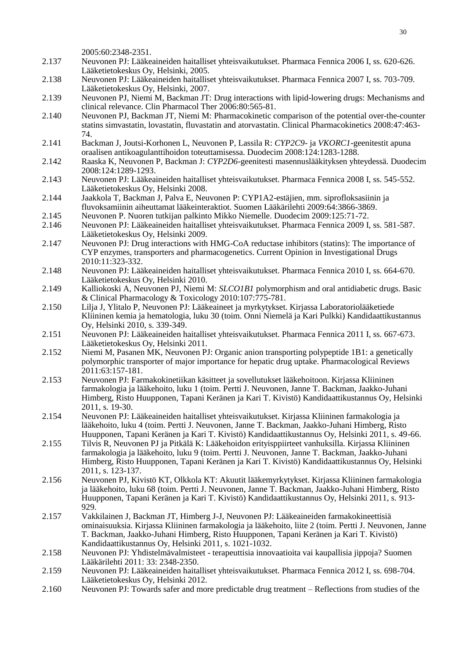2005:60:2348-2351.

- 2.137 Neuvonen PJ: Lääkeaineiden haitalliset yhteisvaikutukset. Pharmaca Fennica 2006 I, ss. 620-626. Lääketietokeskus Oy, Helsinki, 2005.
- 2.138 Neuvonen PJ: Lääkeaineiden haitalliset yhteisvaikutukset. Pharmaca Fennica 2007 I, ss. 703-709. Lääketietokeskus Oy, Helsinki, 2007.
- 2.139 Neuvonen PJ, Niemi M, Backman JT: Drug interactions with lipid-lowering drugs: Mechanisms and clinical relevance. Clin Pharmacol Ther 2006:80:565-81.
- 2.140 Neuvonen PJ, Backman JT, Niemi M: Pharmacokinetic comparison of the potential over-the-counter statins simvastatin, lovastatin, fluvastatin and atorvastatin. Clinical Pharmacokinetics 2008:47:463- 74.
- 2.141 Backman J, Joutsi-Korhonen L, Neuvonen P, Lassila R: *CYP2C9-* ja *VKORC1*-geenitestit apuna oraalisen antikoagulanttihoidon toteuttamisessa. Duodecim 2008:124:1283-1288.
- 2.142 Raaska K, Neuvonen P, Backman J: *CYP2D6*-geenitesti masennuslääkityksen yhteydessä. Duodecim 2008:124:1289-1293.
- 2.143 Neuvonen PJ: Lääkeaineiden haitalliset yhteisvaikutukset. Pharmaca Fennica 2008 I, ss. 545-552. Lääketietokeskus Oy, Helsinki 2008.
- 2.144 Jaakkola T, Backman J, Palva E, Neuvonen P: CYP1A2-estäjien, mm. siprofloksasiinin ja fluvoksamiinin aiheuttamat lääkeinteraktiot. Suomen Lääkärilehti 2009:64:3866-3869.
- 2.145 Neuvonen P. Nuoren tutkijan palkinto Mikko Niemelle. Duodecim 2009:125:71-72.
- 2.146 Neuvonen PJ: Lääkeaineiden haitalliset yhteisvaikutukset. Pharmaca Fennica 2009 I, ss. 581-587. Lääketietokeskus Oy, Helsinki 2009.
- 2.147 Neuvonen PJ: Drug interactions with HMG-CoA reductase inhibitors (statins): The importance of CYP enzymes, transporters and pharmacogenetics. Current Opinion in Investigational Drugs 2010:11:323-332.
- 2.148 Neuvonen PJ: Lääkeaineiden haitalliset yhteisvaikutukset. Pharmaca Fennica 2010 I, ss. 664-670. Lääketietokeskus Oy, Helsinki 2010.
- 2.149 Kalliokoski A, Neuvonen PJ, Niemi M: *SLCO1B1* polymorphism and oral antidiabetic drugs. Basic & Clinical Pharmacology & Toxicology 2010:107:775-781.
- 2.150 Lilja J, Ylitalo P, Neuvonen PJ: Lääkeaineet ja myrkytykset. Kirjassa Laboratoriolääketiede Kliininen kemia ja hematologia, luku 30 (toim. Onni Niemelä ja Kari Pulkki) Kandidaattikustannus Oy, Helsinki 2010, s. 339-349.
- 2.151 Neuvonen PJ: Lääkeaineiden haitalliset yhteisvaikutukset. Pharmaca Fennica 2011 I, ss. 667-673. Lääketietokeskus Oy, Helsinki 2011.
- 2.152 Niemi M, Pasanen MK, Neuvonen PJ: Organic anion transporting polypeptide 1B1: a genetically polymorphic transporter of major importance for hepatic drug uptake. Pharmacological Reviews 2011:63:157-181.
- 2.153 Neuvonen PJ: Farmakokinetiikan käsitteet ja sovellutukset lääkehoitoon. Kirjassa Kliininen farmakologia ja lääkehoito, luku 1 (toim. Pertti J. Neuvonen, Janne T. Backman, Jaakko-Juhani Himberg, Risto Huupponen, Tapani Keränen ja Kari T. Kivistö) Kandidaattikustannus Oy, Helsinki 2011, s. 19-30.
- 2.154 Neuvonen PJ: Lääkeaineiden haitalliset yhteisvaikutukset. Kirjassa Kliininen farmakologia ja lääkehoito, luku 4 (toim. Pertti J. Neuvonen, Janne T. Backman, Jaakko-Juhani Himberg, Risto Huupponen, Tapani Keränen ja Kari T. Kivistö) Kandidaattikustannus Oy, Helsinki 2011, s. 49-66.
- 2.155 Tilvis R, Neuvonen PJ ja Pitkälä K: Lääkehoidon erityisppiirteet vanhuksilla. Kirjassa Kliininen farmakologia ja lääkehoito, luku 9 (toim. Pertti J. Neuvonen, Janne T. Backman, Jaakko-Juhani Himberg, Risto Huupponen, Tapani Keränen ja Kari T. Kivistö) Kandidaattikustannus Oy, Helsinki 2011, s. 123-137.
- 2.156 Neuvonen PJ, Kivistö KT, Olkkola KT: Akuutit lääkemyrkytykset. Kirjassa Kliininen farmakologia ja lääkehoito, luku 68 (toim. Pertti J. Neuvonen, Janne T. Backman, Jaakko-Juhani Himberg, Risto Huupponen, Tapani Keränen ja Kari T. Kivistö) Kandidaattikustannus Oy, Helsinki 2011, s. 913- 929.
- 2.157 Vakkilainen J, Backman JT, Himberg J-J, Neuvonen PJ: Lääkeaineiden farmakokineettisiä ominaisuuksia. Kirjassa Kliininen farmakologia ja lääkehoito, liite 2 (toim. Pertti J. Neuvonen, Janne T. Backman, Jaakko-Juhani Himberg, Risto Huupponen, Tapani Keränen ja Kari T. Kivistö) Kandidaattikustannus Oy, Helsinki 2011, s. 1021-1032.
- 2.158 Neuvonen PJ: Yhdistelmävalmisteet terapeuttisia innovaatioita vai kaupallisia jippoja? Suomen Lääkärilehti 2011: 33: 2348-2350.
- 2.159 Neuvonen PJ: Lääkeaineiden haitalliset yhteisvaikutukset. Pharmaca Fennica 2012 I, ss. 698-704. Lääketietokeskus Oy, Helsinki 2012.
- 2.160 Neuvonen PJ: Towards safer and more predictable drug treatment Reflections from studies of the